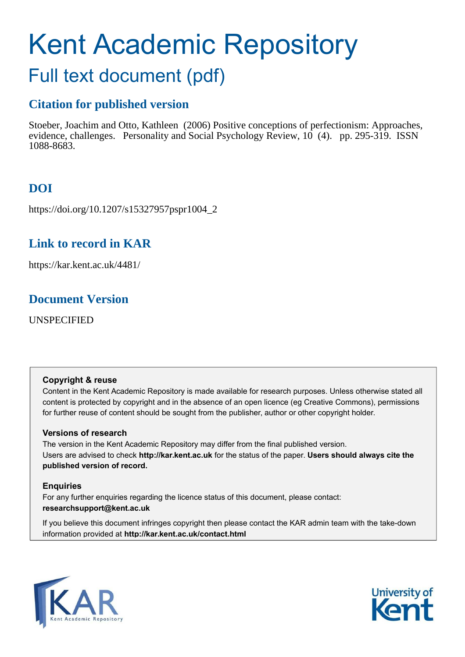# Kent Academic Repository

## Full text document (pdf)

## **Citation for published version**

Stoeber, Joachim and Otto, Kathleen (2006) Positive conceptions of perfectionism: Approaches, evidence, challenges. Personality and Social Psychology Review, 10 (4). pp. 295-319. ISSN 1088-8683.

## **DOI**

https://doi.org/10.1207/s15327957pspr1004\_2

## **Link to record in KAR**

https://kar.kent.ac.uk/4481/

## **Document Version**

UNSPECIFIED

#### **Copyright & reuse**

Content in the Kent Academic Repository is made available for research purposes. Unless otherwise stated all content is protected by copyright and in the absence of an open licence (eg Creative Commons), permissions for further reuse of content should be sought from the publisher, author or other copyright holder.

#### **Versions of research**

The version in the Kent Academic Repository may differ from the final published version. Users are advised to check **http://kar.kent.ac.uk** for the status of the paper. **Users should always cite the published version of record.**

#### **Enquiries**

For any further enquiries regarding the licence status of this document, please contact: **researchsupport@kent.ac.uk**

If you believe this document infringes copyright then please contact the KAR admin team with the take-down information provided at **http://kar.kent.ac.uk/contact.html**



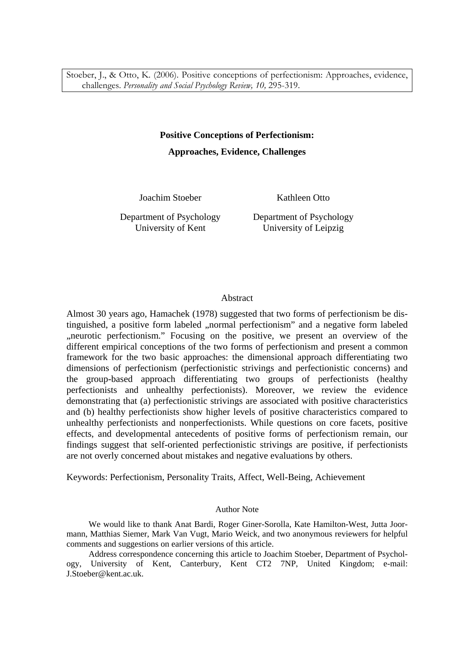Stoeber, J., & Otto, K. (2006). Positive conceptions of perfectionism: Approaches, evidence, challenges. *Personality and Social Psychology Review, 10,* 295-319.

### **Positive Conceptions of Perfectionism: Approaches, Evidence, Challenges**

Joachim Stoeber Kathleen Otto

Department of Psychology University of Kent

Department of Psychology University of Leipzig

#### Abstract

Almost 30 years ago, Hamachek (1978) suggested that two forms of perfectionism be distinguished, a positive form labeled "normal perfectionism" and a negative form labeled ", neurotic perfectionism." Focusing on the positive, we present an overview of the different empirical conceptions of the two forms of perfectionism and present a common framework for the two basic approaches: the dimensional approach differentiating two dimensions of perfectionism (perfectionistic strivings and perfectionistic concerns) and the group-based approach differentiating two groups of perfectionists (healthy perfectionists and unhealthy perfectionists). Moreover, we review the evidence demonstrating that (a) perfectionistic strivings are associated with positive characteristics and (b) healthy perfectionists show higher levels of positive characteristics compared to unhealthy perfectionists and nonperfectionists. While questions on core facets, positive effects, and developmental antecedents of positive forms of perfectionism remain, our findings suggest that self-oriented perfectionistic strivings are positive, if perfectionists are not overly concerned about mistakes and negative evaluations by others.

Keywords: Perfectionism, Personality Traits, Affect, Well-Being, Achievement

#### Author Note

We would like to thank Anat Bardi, Roger Giner-Sorolla, Kate Hamilton-West, Jutta Joormann, Matthias Siemer, Mark Van Vugt, Mario Weick, and two anonymous reviewers for helpful comments and suggestions on earlier versions of this article.

Address correspondence concerning this article to Joachim Stoeber, Department of Psychology, University of Kent, Canterbury, Kent CT2 7NP, United Kingdom; e-mail: J.Stoeber@kent.ac.uk.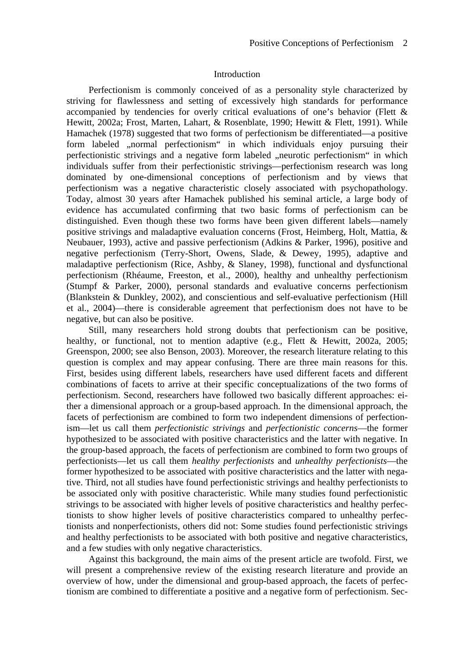#### Introduction

Perfectionism is commonly conceived of as a personality style characterized by striving for flawlessness and setting of excessively high standards for performance accompanied by tendencies for overly critical evaluations of one's behavior (Flett & Hewitt, 2002a; Frost, Marten, Lahart, & Rosenblate, 1990; Hewitt & Flett, 1991). While Hamachek (1978) suggested that two forms of perfectionism be differentiated—a positive form labeled "normal perfectionism" in which individuals enjoy pursuing their perfectionistic strivings and a negative form labeled "neurotic perfectionism" in which individuals suffer from their perfectionistic strivings—perfectionism research was long dominated by one-dimensional conceptions of perfectionism and by views that perfectionism was a negative characteristic closely associated with psychopathology. Today, almost 30 years after Hamachek published his seminal article, a large body of evidence has accumulated confirming that two basic forms of perfectionism can be distinguished. Even though these two forms have been given different labels—namely positive strivings and maladaptive evaluation concerns (Frost, Heimberg, Holt, Mattia, & Neubauer, 1993), active and passive perfectionism (Adkins & Parker, 1996), positive and negative perfectionism (Terry-Short, Owens, Slade, & Dewey, 1995), adaptive and maladaptive perfectionism (Rice, Ashby, & Slaney, 1998), functional and dysfunctional perfectionism (Rhéaume, Freeston, et al., 2000), healthy and unhealthy perfectionism (Stumpf & Parker, 2000), personal standards and evaluative concerns perfectionism (Blankstein & Dunkley, 2002), and conscientious and self-evaluative perfectionism (Hill et al., 2004)—there is considerable agreement that perfectionism does not have to be negative, but can also be positive.

Still, many researchers hold strong doubts that perfectionism can be positive, healthy, or functional, not to mention adaptive (e.g., Flett & Hewitt, 2002a, 2005; Greenspon, 2000; see also Benson, 2003). Moreover, the research literature relating to this question is complex and may appear confusing. There are three main reasons for this. First, besides using different labels, researchers have used different facets and different combinations of facets to arrive at their specific conceptualizations of the two forms of perfectionism. Second, researchers have followed two basically different approaches: either a dimensional approach or a group-based approach. In the dimensional approach, the facets of perfectionism are combined to form two independent dimensions of perfectionism—let us call them *perfectionistic strivings* and *perfectionistic concerns*—the former hypothesized to be associated with positive characteristics and the latter with negative. In the group-based approach, the facets of perfectionism are combined to form two groups of perfectionists—let us call them *healthy perfectionists* and *unhealthy perfectionists*—the former hypothesized to be associated with positive characteristics and the latter with negative. Third, not all studies have found perfectionistic strivings and healthy perfectionists to be associated only with positive characteristic. While many studies found perfectionistic strivings to be associated with higher levels of positive characteristics and healthy perfectionists to show higher levels of positive characteristics compared to unhealthy perfectionists and nonperfectionists, others did not: Some studies found perfectionistic strivings and healthy perfectionists to be associated with both positive and negative characteristics, and a few studies with only negative characteristics.

Against this background, the main aims of the present article are twofold. First, we will present a comprehensive review of the existing research literature and provide an overview of how, under the dimensional and group-based approach, the facets of perfectionism are combined to differentiate a positive and a negative form of perfectionism. Sec-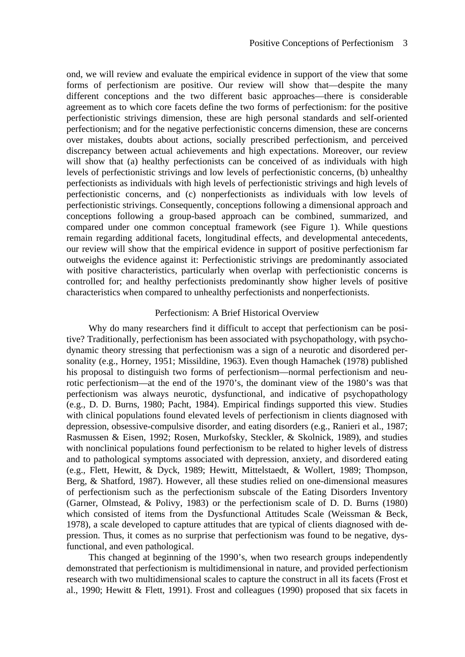ond, we will review and evaluate the empirical evidence in support of the view that some forms of perfectionism are positive. Our review will show that—despite the many different conceptions and the two different basic approaches—there is considerable agreement as to which core facets define the two forms of perfectionism: for the positive perfectionistic strivings dimension, these are high personal standards and self-oriented perfectionism; and for the negative perfectionistic concerns dimension, these are concerns over mistakes, doubts about actions, socially prescribed perfectionism, and perceived discrepancy between actual achievements and high expectations. Moreover, our review will show that (a) healthy perfectionists can be conceived of as individuals with high levels of perfectionistic strivings and low levels of perfectionistic concerns, (b) unhealthy perfectionists as individuals with high levels of perfectionistic strivings and high levels of perfectionistic concerns, and (c) nonperfectionists as individuals with low levels of perfectionistic strivings. Consequently, conceptions following a dimensional approach and conceptions following a group-based approach can be combined, summarized, and compared under one common conceptual framework (see Figure 1). While questions remain regarding additional facets, longitudinal effects, and developmental antecedents, our review will show that the empirical evidence in support of positive perfectionism far outweighs the evidence against it: Perfectionistic strivings are predominantly associated with positive characteristics, particularly when overlap with perfectionistic concerns is controlled for; and healthy perfectionists predominantly show higher levels of positive characteristics when compared to unhealthy perfectionists and nonperfectionists.

#### Perfectionism: A Brief Historical Overview

Why do many researchers find it difficult to accept that perfectionism can be positive? Traditionally, perfectionism has been associated with psychopathology, with psychodynamic theory stressing that perfectionism was a sign of a neurotic and disordered personality (e.g., Horney, 1951; Missildine, 1963). Even though Hamachek (1978) published his proposal to distinguish two forms of perfectionism—normal perfectionism and neurotic perfectionism—at the end of the 1970's, the dominant view of the 1980's was that perfectionism was always neurotic, dysfunctional, and indicative of psychopathology (e.g., D. D. Burns, 1980; Pacht, 1984). Empirical findings supported this view. Studies with clinical populations found elevated levels of perfectionism in clients diagnosed with depression, obsessive-compulsive disorder, and eating disorders (e.g., Ranieri et al., 1987; Rasmussen & Eisen, 1992; Rosen, Murkofsky, Steckler, & Skolnick, 1989), and studies with nonclinical populations found perfectionism to be related to higher levels of distress and to pathological symptoms associated with depression, anxiety, and disordered eating (e.g., Flett, Hewitt, & Dyck, 1989; Hewitt, Mittelstaedt, & Wollert, 1989; Thompson, Berg, & Shatford, 1987). However, all these studies relied on one-dimensional measures of perfectionism such as the perfectionism subscale of the Eating Disorders Inventory (Garner, Olmstead, & Polivy, 1983) or the perfectionism scale of D. D. Burns (1980) which consisted of items from the Dysfunctional Attitudes Scale (Weissman & Beck, 1978), a scale developed to capture attitudes that are typical of clients diagnosed with depression. Thus, it comes as no surprise that perfectionism was found to be negative, dysfunctional, and even pathological.

This changed at beginning of the 1990's, when two research groups independently demonstrated that perfectionism is multidimensional in nature, and provided perfectionism research with two multidimensional scales to capture the construct in all its facets (Frost et al., 1990; Hewitt & Flett, 1991). Frost and colleagues (1990) proposed that six facets in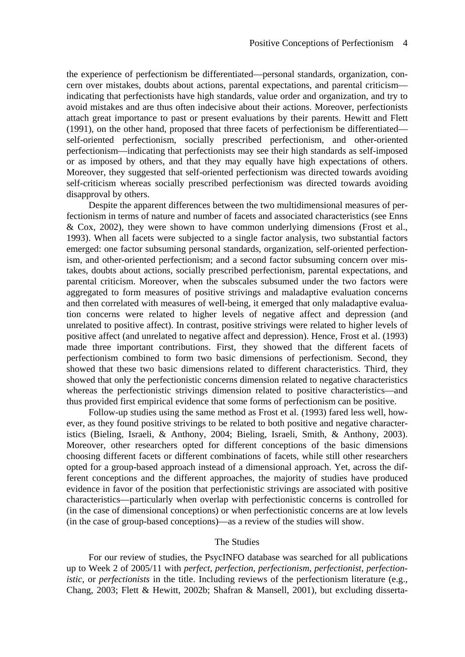the experience of perfectionism be differentiated—personal standards, organization, concern over mistakes, doubts about actions, parental expectations, and parental criticism indicating that perfectionists have high standards, value order and organization, and try to avoid mistakes and are thus often indecisive about their actions. Moreover, perfectionists attach great importance to past or present evaluations by their parents. Hewitt and Flett (1991), on the other hand, proposed that three facets of perfectionism be differentiated self-oriented perfectionism, socially prescribed perfectionism, and other-oriented perfectionism—indicating that perfectionists may see their high standards as self-imposed or as imposed by others, and that they may equally have high expectations of others. Moreover, they suggested that self-oriented perfectionism was directed towards avoiding self-criticism whereas socially prescribed perfectionism was directed towards avoiding disapproval by others.

Despite the apparent differences between the two multidimensional measures of perfectionism in terms of nature and number of facets and associated characteristics (see Enns  $& Cox, 2002$ ), they were shown to have common underlying dimensions (Frost et al., 1993). When all facets were subjected to a single factor analysis, two substantial factors emerged: one factor subsuming personal standards, organization, self-oriented perfectionism, and other-oriented perfectionism; and a second factor subsuming concern over mistakes, doubts about actions, socially prescribed perfectionism, parental expectations, and parental criticism. Moreover, when the subscales subsumed under the two factors were aggregated to form measures of positive strivings and maladaptive evaluation concerns and then correlated with measures of well-being, it emerged that only maladaptive evaluation concerns were related to higher levels of negative affect and depression (and unrelated to positive affect). In contrast, positive strivings were related to higher levels of positive affect (and unrelated to negative affect and depression). Hence, Frost et al. (1993) made three important contributions. First, they showed that the different facets of perfectionism combined to form two basic dimensions of perfectionism. Second, they showed that these two basic dimensions related to different characteristics. Third, they showed that only the perfectionistic concerns dimension related to negative characteristics whereas the perfectionistic strivings dimension related to positive characteristics—and thus provided first empirical evidence that some forms of perfectionism can be positive.

Follow-up studies using the same method as Frost et al. (1993) fared less well, however, as they found positive strivings to be related to both positive and negative characteristics (Bieling, Israeli, & Anthony, 2004; Bieling, Israeli, Smith, & Anthony, 2003). Moreover, other researchers opted for different conceptions of the basic dimensions choosing different facets or different combinations of facets, while still other researchers opted for a group-based approach instead of a dimensional approach. Yet, across the different conceptions and the different approaches, the majority of studies have produced evidence in favor of the position that perfectionistic strivings are associated with positive characteristics—particularly when overlap with perfectionistic concerns is controlled for (in the case of dimensional conceptions) or when perfectionistic concerns are at low levels (in the case of group-based conceptions)—as a review of the studies will show.

#### The Studies

For our review of studies, the PsycINFO database was searched for all publications up to Week 2 of 2005/11 with *perfect*, *perfection*, *perfectionism*, *perfectionist*, *perfectionistic*, or *perfectionists* in the title. Including reviews of the perfectionism literature (e.g., Chang, 2003; Flett & Hewitt, 2002b; Shafran & Mansell, 2001), but excluding disserta-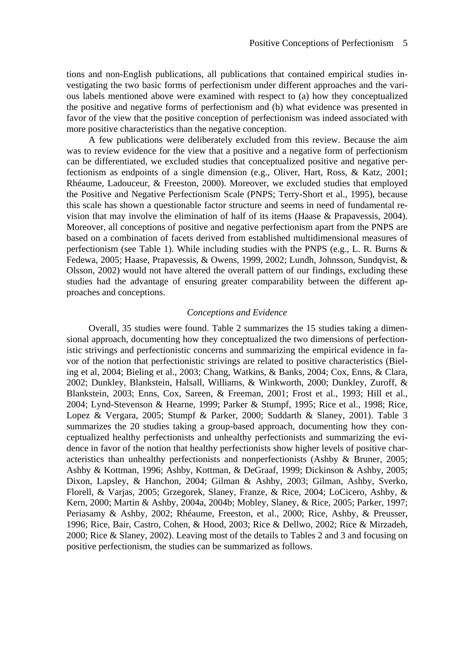tions and non-English publications, all publications that contained empirical studies investigating the two basic forms of perfectionism under different approaches and the various labels mentioned above were examined with respect to (a) how they conceptualized the positive and negative forms of perfectionism and (b) what evidence was presented in favor of the view that the positive conception of perfectionism was indeed associated with more positive characteristics than the negative conception.

A few publications were deliberately excluded from this review. Because the aim was to review evidence for the view that a positive and a negative form of perfectionism can be differentiated, we excluded studies that conceptualized positive and negative perfectionism as endpoints of a single dimension (e.g., Oliver, Hart, Ross, & Katz, 2001; Rhéaume, Ladouceur, & Freeston, 2000). Moreover, we excluded studies that employed the Positive and Negative Perfectionism Scale (PNPS; Terry-Short et al., 1995), because this scale has shown a questionable factor structure and seems in need of fundamental revision that may involve the elimination of half of its items (Haase & Prapavessis, 2004). Moreover, all conceptions of positive and negative perfectionism apart from the PNPS are based on a combination of facets derived from established multidimensional measures of perfectionism (see Table 1). While including studies with the PNPS (e.g., L. R. Burns & Fedewa, 2005; Haase, Prapavessis, & Owens, 1999, 2002; Lundh, Johnsson, Sundqvist, & Olsson, 2002) would not have altered the overall pattern of our findings, excluding these studies had the advantage of ensuring greater comparability between the different approaches and conceptions.

#### *Conceptions and Evidence*

Overall, 35 studies were found. Table 2 summarizes the 15 studies taking a dimensional approach, documenting how they conceptualized the two dimensions of perfectionistic strivings and perfectionistic concerns and summarizing the empirical evidence in favor of the notion that perfectionistic strivings are related to positive characteristics (Bieling et al, 2004; Bieling et al., 2003; Chang, Watkins, & Banks, 2004; Cox, Enns, & Clara, 2002; Dunkley, Blankstein, Halsall, Williams, & Winkworth, 2000; Dunkley, Zuroff, & Blankstein, 2003; Enns, Cox, Sareen, & Freeman, 2001; Frost et al., 1993; Hill et al., 2004; Lynd-Stevenson & Hearne, 1999; Parker & Stumpf, 1995; Rice et al., 1998; Rice, Lopez & Vergara, 2005; Stumpf & Parker, 2000; Suddarth & Slaney, 2001). Table 3 summarizes the 20 studies taking a group-based approach, documenting how they conceptualized healthy perfectionists and unhealthy perfectionists and summarizing the evidence in favor of the notion that healthy perfectionists show higher levels of positive characteristics than unhealthy perfectionists and nonperfectionists (Ashby & Bruner, 2005; Ashby & Kottman, 1996; Ashby, Kottman, & DeGraaf, 1999; Dickinson & Ashby, 2005; Dixon, Lapsley, & Hanchon, 2004; Gilman & Ashby, 2003; Gilman, Ashby, Sverko, Florell, & Varjas, 2005; Grzegorek, Slaney, Franze, & Rice, 2004; LoCicero, Ashby, & Kern, 2000; Martin & Ashby, 2004a, 2004b; Mobley, Slaney, & Rice, 2005; Parker, 1997; Periasamy & Ashby, 2002; Rhéaume, Freeston, et al., 2000; Rice, Ashby, & Preusser, 1996; Rice, Bair, Castro, Cohen, & Hood, 2003; Rice & Dellwo, 2002; Rice & Mirzadeh, 2000; Rice & Slaney, 2002). Leaving most of the details to Tables 2 and 3 and focusing on positive perfectionism, the studies can be summarized as follows.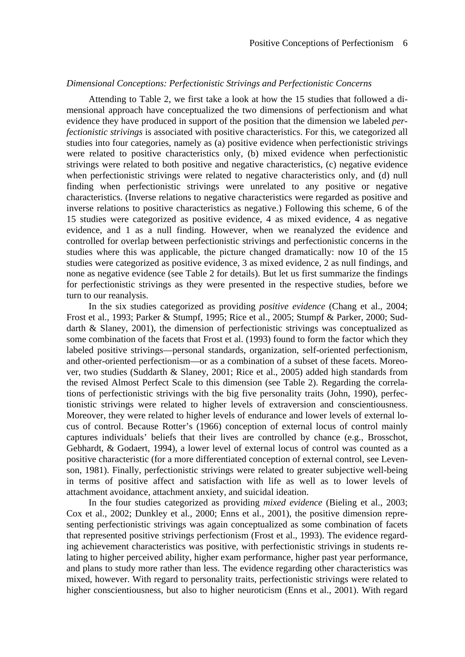#### *Dimensional Conceptions: Perfectionistic Strivings and Perfectionistic Concerns*

Attending to Table 2, we first take a look at how the 15 studies that followed a dimensional approach have conceptualized the two dimensions of perfectionism and what evidence they have produced in support of the position that the dimension we labeled *perfectionistic strivings* is associated with positive characteristics. For this, we categorized all studies into four categories, namely as (a) positive evidence when perfectionistic strivings were related to positive characteristics only, (b) mixed evidence when perfectionistic strivings were related to both positive and negative characteristics, (c) negative evidence when perfectionistic strivings were related to negative characteristics only, and (d) null finding when perfectionistic strivings were unrelated to any positive or negative characteristics. (Inverse relations to negative characteristics were regarded as positive and inverse relations to positive characteristics as negative.) Following this scheme, 6 of the 15 studies were categorized as positive evidence, 4 as mixed evidence, 4 as negative evidence, and 1 as a null finding. However, when we reanalyzed the evidence and controlled for overlap between perfectionistic strivings and perfectionistic concerns in the studies where this was applicable, the picture changed dramatically: now 10 of the 15 studies were categorized as positive evidence, 3 as mixed evidence, 2 as null findings, and none as negative evidence (see Table 2 for details). But let us first summarize the findings for perfectionistic strivings as they were presented in the respective studies, before we turn to our reanalysis.

In the six studies categorized as providing *positive evidence* (Chang et al., 2004; Frost et al., 1993; Parker & Stumpf, 1995; Rice et al., 2005; Stumpf & Parker, 2000; Suddarth & Slaney, 2001), the dimension of perfectionistic strivings was conceptualized as some combination of the facets that Frost et al. (1993) found to form the factor which they labeled positive strivings—personal standards, organization, self-oriented perfectionism, and other-oriented perfectionism—or as a combination of a subset of these facets. Moreover, two studies (Suddarth & Slaney, 2001; Rice et al., 2005) added high standards from the revised Almost Perfect Scale to this dimension (see Table 2). Regarding the correlations of perfectionistic strivings with the big five personality traits (John, 1990), perfectionistic strivings were related to higher levels of extraversion and conscientiousness. Moreover, they were related to higher levels of endurance and lower levels of external locus of control. Because Rotter's (1966) conception of external locus of control mainly captures individuals' beliefs that their lives are controlled by chance (e.g., Brosschot, Gebhardt, & Godaert, 1994), a lower level of external locus of control was counted as a positive characteristic (for a more differentiated conception of external control, see Levenson, 1981). Finally, perfectionistic strivings were related to greater subjective well-being in terms of positive affect and satisfaction with life as well as to lower levels of attachment avoidance, attachment anxiety, and suicidal ideation.

In the four studies categorized as providing *mixed evidence* (Bieling et al., 2003; Cox et al., 2002; Dunkley et al., 2000; Enns et al., 2001), the positive dimension representing perfectionistic strivings was again conceptualized as some combination of facets that represented positive strivings perfectionism (Frost et al., 1993). The evidence regarding achievement characteristics was positive, with perfectionistic strivings in students relating to higher perceived ability, higher exam performance, higher past year performance, and plans to study more rather than less. The evidence regarding other characteristics was mixed, however. With regard to personality traits, perfectionistic strivings were related to higher conscientiousness, but also to higher neuroticism (Enns et al., 2001). With regard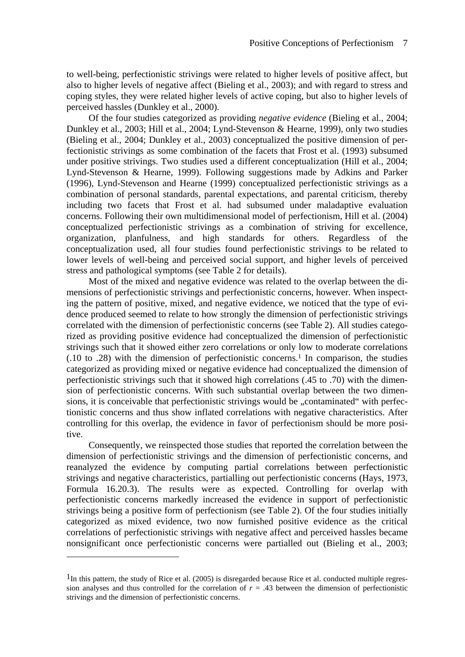to well-being, perfectionistic strivings were related to higher levels of positive affect, but also to higher levels of negative affect (Bieling et al., 2003); and with regard to stress and coping styles, they were related higher levels of active coping, but also to higher levels of perceived hassles (Dunkley et al., 2000).

Of the four studies categorized as providing *negative evidence* (Bieling et al., 2004; Dunkley et al., 2003; Hill et al., 2004; Lynd-Stevenson & Hearne, 1999), only two studies (Bieling et al., 2004; Dunkley et al., 2003) conceptualized the positive dimension of perfectionistic strivings as some combination of the facets that Frost et al. (1993) subsumed under positive strivings. Two studies used a different conceptualization (Hill et al., 2004; Lynd-Stevenson & Hearne, 1999). Following suggestions made by Adkins and Parker (1996), Lynd-Stevenson and Hearne (1999) conceptualized perfectionistic strivings as a combination of personal standards, parental expectations, and parental criticism, thereby including two facets that Frost et al. had subsumed under maladaptive evaluation concerns. Following their own multidimensional model of perfectionism, Hill et al. (2004) conceptualized perfectionistic strivings as a combination of striving for excellence, organization, planfulness, and high standards for others. Regardless of the conceptualization used, all four studies found perfectionistic strivings to be related to lower levels of well-being and perceived social support, and higher levels of perceived stress and pathological symptoms (see Table 2 for details).

Most of the mixed and negative evidence was related to the overlap between the dimensions of perfectionistic strivings and perfectionistic concerns, however. When inspecting the pattern of positive, mixed, and negative evidence, we noticed that the type of evidence produced seemed to relate to how strongly the dimension of perfectionistic strivings correlated with the dimension of perfectionistic concerns (see Table 2). All studies categorized as providing positive evidence had conceptualized the dimension of perfectionistic strivings such that it showed either zero correlations or only low to moderate correlations (.10 to .28) with the dimension of perfectionistic concerns.<sup>1</sup> In comparison, the studies categorized as providing mixed or negative evidence had conceptualized the dimension of perfectionistic strivings such that it showed high correlations (.45 to .70) with the dimension of perfectionistic concerns. With such substantial overlap between the two dimensions, it is conceivable that perfectionistic strivings would be "contaminated" with perfectionistic concerns and thus show inflated correlations with negative characteristics. After controlling for this overlap, the evidence in favor of perfectionism should be more positive.

Consequently, we reinspected those studies that reported the correlation between the dimension of perfectionistic strivings and the dimension of perfectionistic concerns, and reanalyzed the evidence by computing partial correlations between perfectionistic strivings and negative characteristics, partialling out perfectionistic concerns (Hays, 1973, Formula 16.20.3). The results were as expected. Controlling for overlap with perfectionistic concerns markedly increased the evidence in support of perfectionistic strivings being a positive form of perfectionism (see Table 2). Of the four studies initially categorized as mixed evidence, two now furnished positive evidence as the critical correlations of perfectionistic strivings with negative affect and perceived hassles became nonsignificant once perfectionistic concerns were partialled out (Bieling et al., 2003;

 $\overline{a}$ 

 $<sup>1</sup>$ In this pattern, the study of Rice et al. (2005) is disregarded because Rice et al. conducted multiple regres-</sup> sion analyses and thus controlled for the correlation of  $r = .43$  between the dimension of perfectionistic strivings and the dimension of perfectionistic concerns.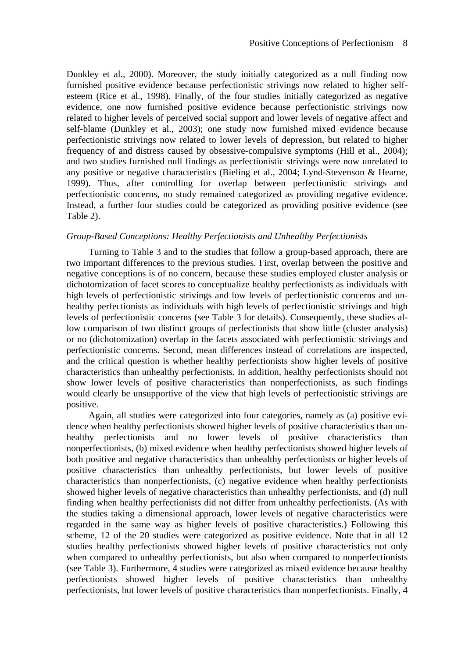Dunkley et al., 2000). Moreover, the study initially categorized as a null finding now furnished positive evidence because perfectionistic strivings now related to higher selfesteem (Rice et al., 1998). Finally, of the four studies initially categorized as negative evidence, one now furnished positive evidence because perfectionistic strivings now related to higher levels of perceived social support and lower levels of negative affect and self-blame (Dunkley et al., 2003); one study now furnished mixed evidence because perfectionistic strivings now related to lower levels of depression, but related to higher frequency of and distress caused by obsessive-compulsive symptoms (Hill et al., 2004); and two studies furnished null findings as perfectionistic strivings were now unrelated to any positive or negative characteristics (Bieling et al., 2004; Lynd-Stevenson & Hearne, 1999). Thus, after controlling for overlap between perfectionistic strivings and perfectionistic concerns, no study remained categorized as providing negative evidence. Instead, a further four studies could be categorized as providing positive evidence (see Table 2).

#### *Group-Based Conceptions: Healthy Perfectionists and Unhealthy Perfectionists*

Turning to Table 3 and to the studies that follow a group-based approach, there are two important differences to the previous studies. First, overlap between the positive and negative conceptions is of no concern, because these studies employed cluster analysis or dichotomization of facet scores to conceptualize healthy perfectionists as individuals with high levels of perfectionistic strivings and low levels of perfectionistic concerns and unhealthy perfectionists as individuals with high levels of perfectionistic strivings and high levels of perfectionistic concerns (see Table 3 for details). Consequently, these studies allow comparison of two distinct groups of perfectionists that show little (cluster analysis) or no (dichotomization) overlap in the facets associated with perfectionistic strivings and perfectionistic concerns. Second, mean differences instead of correlations are inspected, and the critical question is whether healthy perfectionists show higher levels of positive characteristics than unhealthy perfectionists. In addition, healthy perfectionists should not show lower levels of positive characteristics than nonperfectionists, as such findings would clearly be unsupportive of the view that high levels of perfectionistic strivings are positive.

Again, all studies were categorized into four categories, namely as (a) positive evidence when healthy perfectionists showed higher levels of positive characteristics than unhealthy perfectionists and no lower levels of positive characteristics than nonperfectionists, (b) mixed evidence when healthy perfectionists showed higher levels of both positive and negative characteristics than unhealthy perfectionists or higher levels of positive characteristics than unhealthy perfectionists, but lower levels of positive characteristics than nonperfectionists, (c) negative evidence when healthy perfectionists showed higher levels of negative characteristics than unhealthy perfectionists, and (d) null finding when healthy perfectionists did not differ from unhealthy perfectionists. (As with the studies taking a dimensional approach, lower levels of negative characteristics were regarded in the same way as higher levels of positive characteristics.) Following this scheme, 12 of the 20 studies were categorized as positive evidence. Note that in all 12 studies healthy perfectionists showed higher levels of positive characteristics not only when compared to unhealthy perfectionists, but also when compared to nonperfectionists (see Table 3). Furthermore, 4 studies were categorized as mixed evidence because healthy perfectionists showed higher levels of positive characteristics than unhealthy perfectionists, but lower levels of positive characteristics than nonperfectionists. Finally, 4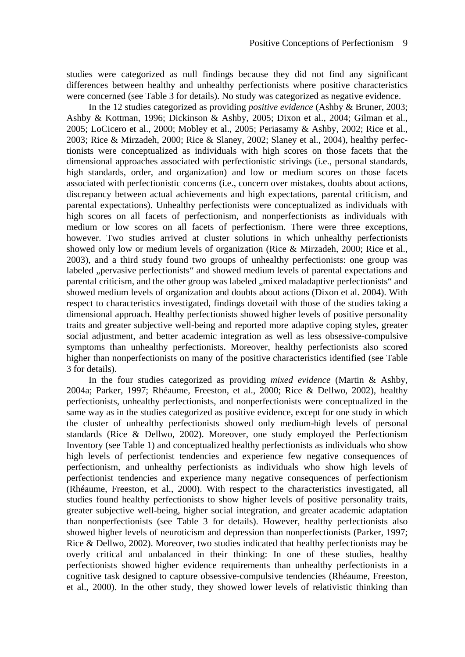studies were categorized as null findings because they did not find any significant differences between healthy and unhealthy perfectionists where positive characteristics were concerned (see Table 3 for details). No study was categorized as negative evidence.

In the 12 studies categorized as providing *positive evidence* (Ashby & Bruner, 2003; Ashby & Kottman, 1996; Dickinson & Ashby, 2005; Dixon et al., 2004; Gilman et al., 2005; LoCicero et al., 2000; Mobley et al., 2005; Periasamy & Ashby, 2002; Rice et al., 2003; Rice & Mirzadeh, 2000; Rice & Slaney, 2002; Slaney et al., 2004), healthy perfectionists were conceptualized as individuals with high scores on those facets that the dimensional approaches associated with perfectionistic strivings (i.e., personal standards, high standards, order, and organization) and low or medium scores on those facets associated with perfectionistic concerns (i.e., concern over mistakes, doubts about actions, discrepancy between actual achievements and high expectations, parental criticism, and parental expectations). Unhealthy perfectionists were conceptualized as individuals with high scores on all facets of perfectionism, and nonperfectionists as individuals with medium or low scores on all facets of perfectionism. There were three exceptions, however. Two studies arrived at cluster solutions in which unhealthy perfectionists showed only low or medium levels of organization (Rice & Mirzadeh, 2000; Rice et al., 2003), and a third study found two groups of unhealthy perfectionists: one group was labeled , pervasive perfectionists and showed medium levels of parental expectations and parental criticism, and the other group was labeled , mixed maladaptive perfectionists" and showed medium levels of organization and doubts about actions (Dixon et al. 2004). With respect to characteristics investigated, findings dovetail with those of the studies taking a dimensional approach. Healthy perfectionists showed higher levels of positive personality traits and greater subjective well-being and reported more adaptive coping styles, greater social adjustment, and better academic integration as well as less obsessive-compulsive symptoms than unhealthy perfectionists. Moreover, healthy perfectionists also scored higher than nonperfectionists on many of the positive characteristics identified (see Table 3 for details).

In the four studies categorized as providing *mixed evidence* (Martin & Ashby, 2004a; Parker, 1997; Rhéaume, Freeston, et al., 2000; Rice & Dellwo, 2002), healthy perfectionists, unhealthy perfectionists, and nonperfectionists were conceptualized in the same way as in the studies categorized as positive evidence, except for one study in which the cluster of unhealthy perfectionists showed only medium-high levels of personal standards (Rice & Dellwo, 2002). Moreover, one study employed the Perfectionism Inventory (see Table 1) and conceptualized healthy perfectionists as individuals who show high levels of perfectionist tendencies and experience few negative consequences of perfectionism, and unhealthy perfectionists as individuals who show high levels of perfectionist tendencies and experience many negative consequences of perfectionism (Rhéaume, Freeston, et al., 2000). With respect to the characteristics investigated, all studies found healthy perfectionists to show higher levels of positive personality traits, greater subjective well-being, higher social integration, and greater academic adaptation than nonperfectionists (see Table 3 for details). However, healthy perfectionists also showed higher levels of neuroticism and depression than nonperfectionists (Parker, 1997; Rice & Dellwo, 2002). Moreover, two studies indicated that healthy perfectionists may be overly critical and unbalanced in their thinking: In one of these studies, healthy perfectionists showed higher evidence requirements than unhealthy perfectionists in a cognitive task designed to capture obsessive-compulsive tendencies (Rhéaume, Freeston, et al., 2000). In the other study, they showed lower levels of relativistic thinking than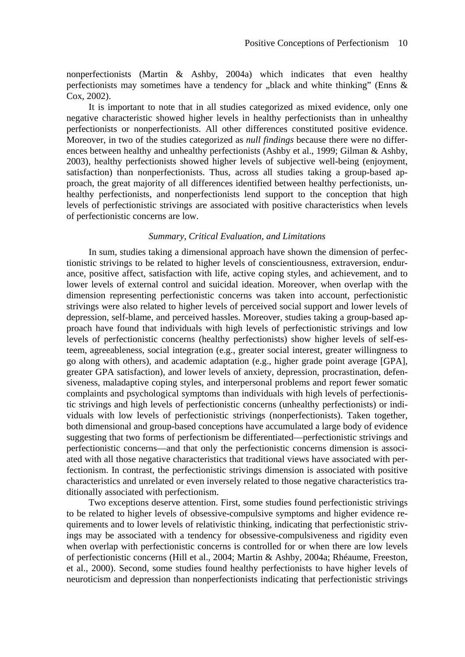nonperfectionists (Martin & Ashby, 2004a) which indicates that even healthy perfectionists may sometimes have a tendency for "black and white thinking" (Enns  $\&$ Cox, 2002).

It is important to note that in all studies categorized as mixed evidence, only one negative characteristic showed higher levels in healthy perfectionists than in unhealthy perfectionists or nonperfectionists. All other differences constituted positive evidence. Moreover, in two of the studies categorized as *null findings* because there were no differences between healthy and unhealthy perfectionists (Ashby et al., 1999; Gilman & Ashby, 2003), healthy perfectionists showed higher levels of subjective well-being (enjoyment, satisfaction) than nonperfectionists. Thus, across all studies taking a group-based approach, the great majority of all differences identified between healthy perfectionists, unhealthy perfectionists, and nonperfectionists lend support to the conception that high levels of perfectionistic strivings are associated with positive characteristics when levels of perfectionistic concerns are low.

#### *Summary, Critical Evaluation, and Limitations*

In sum, studies taking a dimensional approach have shown the dimension of perfectionistic strivings to be related to higher levels of conscientiousness, extraversion, endurance, positive affect, satisfaction with life, active coping styles, and achievement, and to lower levels of external control and suicidal ideation. Moreover, when overlap with the dimension representing perfectionistic concerns was taken into account, perfectionistic strivings were also related to higher levels of perceived social support and lower levels of depression, self-blame, and perceived hassles. Moreover, studies taking a group-based approach have found that individuals with high levels of perfectionistic strivings and low levels of perfectionistic concerns (healthy perfectionists) show higher levels of self-esteem, agreeableness, social integration (e.g., greater social interest, greater willingness to go along with others), and academic adaptation (e.g., higher grade point average [GPA], greater GPA satisfaction), and lower levels of anxiety, depression, procrastination, defensiveness, maladaptive coping styles, and interpersonal problems and report fewer somatic complaints and psychological symptoms than individuals with high levels of perfectionistic strivings and high levels of perfectionistic concerns (unhealthy perfectionists) or individuals with low levels of perfectionistic strivings (nonperfectionists). Taken together, both dimensional and group-based conceptions have accumulated a large body of evidence suggesting that two forms of perfectionism be differentiated—perfectionistic strivings and perfectionistic concerns—and that only the perfectionistic concerns dimension is associated with all those negative characteristics that traditional views have associated with perfectionism. In contrast, the perfectionistic strivings dimension is associated with positive characteristics and unrelated or even inversely related to those negative characteristics traditionally associated with perfectionism.

Two exceptions deserve attention. First, some studies found perfectionistic strivings to be related to higher levels of obsessive-compulsive symptoms and higher evidence requirements and to lower levels of relativistic thinking, indicating that perfectionistic strivings may be associated with a tendency for obsessive-compulsiveness and rigidity even when overlap with perfectionistic concerns is controlled for or when there are low levels of perfectionistic concerns (Hill et al., 2004; Martin & Ashby, 2004a; Rhéaume, Freeston, et al., 2000). Second, some studies found healthy perfectionists to have higher levels of neuroticism and depression than nonperfectionists indicating that perfectionistic strivings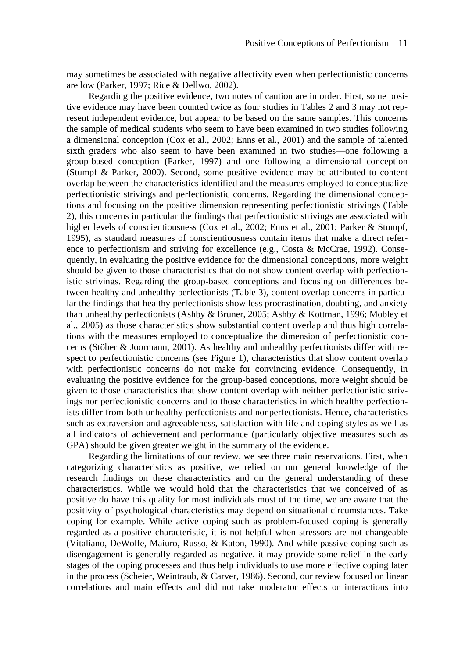may sometimes be associated with negative affectivity even when perfectionistic concerns are low (Parker, 1997; Rice & Dellwo, 2002).

Regarding the positive evidence, two notes of caution are in order. First, some positive evidence may have been counted twice as four studies in Tables 2 and 3 may not represent independent evidence, but appear to be based on the same samples. This concerns the sample of medical students who seem to have been examined in two studies following a dimensional conception (Cox et al., 2002; Enns et al., 2001) and the sample of talented sixth graders who also seem to have been examined in two studies—one following a group-based conception (Parker, 1997) and one following a dimensional conception (Stumpf & Parker, 2000). Second, some positive evidence may be attributed to content overlap between the characteristics identified and the measures employed to conceptualize perfectionistic strivings and perfectionistic concerns. Regarding the dimensional conceptions and focusing on the positive dimension representing perfectionistic strivings (Table 2), this concerns in particular the findings that perfectionistic strivings are associated with higher levels of conscientiousness (Cox et al., 2002; Enns et al., 2001; Parker & Stumpf, 1995), as standard measures of conscientiousness contain items that make a direct reference to perfectionism and striving for excellence (e.g., Costa & McCrae, 1992). Consequently, in evaluating the positive evidence for the dimensional conceptions, more weight should be given to those characteristics that do not show content overlap with perfectionistic strivings. Regarding the group-based conceptions and focusing on differences between healthy and unhealthy perfectionists (Table 3), content overlap concerns in particular the findings that healthy perfectionists show less procrastination, doubting, and anxiety than unhealthy perfectionists (Ashby & Bruner, 2005; Ashby & Kottman, 1996; Mobley et al., 2005) as those characteristics show substantial content overlap and thus high correlations with the measures employed to conceptualize the dimension of perfectionistic concerns (Stöber & Joormann, 2001). As healthy and unhealthy perfectionists differ with respect to perfectionistic concerns (see Figure 1), characteristics that show content overlap with perfectionistic concerns do not make for convincing evidence. Consequently, in evaluating the positive evidence for the group-based conceptions, more weight should be given to those characteristics that show content overlap with neither perfectionistic strivings nor perfectionistic concerns and to those characteristics in which healthy perfectionists differ from both unhealthy perfectionists and nonperfectionists. Hence, characteristics such as extraversion and agreeableness, satisfaction with life and coping styles as well as all indicators of achievement and performance (particularly objective measures such as GPA) should be given greater weight in the summary of the evidence.

Regarding the limitations of our review, we see three main reservations. First, when categorizing characteristics as positive, we relied on our general knowledge of the research findings on these characteristics and on the general understanding of these characteristics. While we would hold that the characteristics that we conceived of as positive do have this quality for most individuals most of the time, we are aware that the positivity of psychological characteristics may depend on situational circumstances. Take coping for example. While active coping such as problem-focused coping is generally regarded as a positive characteristic, it is not helpful when stressors are not changeable (Vitaliano, DeWolfe, Maiuro, Russo, & Katon, 1990). And while passive coping such as disengagement is generally regarded as negative, it may provide some relief in the early stages of the coping processes and thus help individuals to use more effective coping later in the process (Scheier, Weintraub, & Carver, 1986). Second, our review focused on linear correlations and main effects and did not take moderator effects or interactions into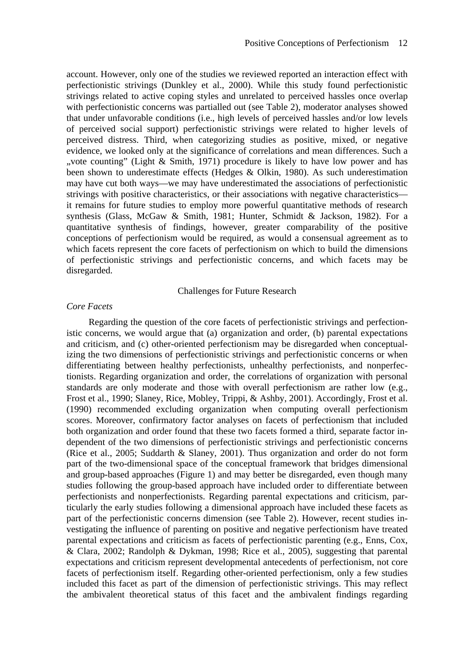account. However, only one of the studies we reviewed reported an interaction effect with perfectionistic strivings (Dunkley et al., 2000). While this study found perfectionistic strivings related to active coping styles and unrelated to perceived hassles once overlap with perfectionistic concerns was partialled out (see Table 2), moderator analyses showed that under unfavorable conditions (i.e., high levels of perceived hassles and/or low levels of perceived social support) perfectionistic strivings were related to higher levels of perceived distress. Third, when categorizing studies as positive, mixed, or negative evidence, we looked only at the significance of correlations and mean differences. Such a ", vote counting" (Light  $\&$  Smith, 1971) procedure is likely to have low power and has been shown to underestimate effects (Hedges & Olkin, 1980). As such underestimation may have cut both ways—we may have underestimated the associations of perfectionistic strivings with positive characteristics, or their associations with negative characteristics it remains for future studies to employ more powerful quantitative methods of research synthesis (Glass, McGaw & Smith, 1981; Hunter, Schmidt & Jackson, 1982). For a quantitative synthesis of findings, however, greater comparability of the positive conceptions of perfectionism would be required, as would a consensual agreement as to which facets represent the core facets of perfectionism on which to build the dimensions of perfectionistic strivings and perfectionistic concerns, and which facets may be disregarded.

#### Challenges for Future Research

#### *Core Facets*

Regarding the question of the core facets of perfectionistic strivings and perfectionistic concerns, we would argue that (a) organization and order, (b) parental expectations and criticism, and (c) other-oriented perfectionism may be disregarded when conceptualizing the two dimensions of perfectionistic strivings and perfectionistic concerns or when differentiating between healthy perfectionists, unhealthy perfectionists, and nonperfectionists. Regarding organization and order, the correlations of organization with personal standards are only moderate and those with overall perfectionism are rather low (e.g., Frost et al., 1990; Slaney, Rice, Mobley, Trippi, & Ashby, 2001). Accordingly, Frost et al. (1990) recommended excluding organization when computing overall perfectionism scores. Moreover, confirmatory factor analyses on facets of perfectionism that included both organization and order found that these two facets formed a third, separate factor independent of the two dimensions of perfectionistic strivings and perfectionistic concerns (Rice et al., 2005; Suddarth & Slaney, 2001). Thus organization and order do not form part of the two-dimensional space of the conceptual framework that bridges dimensional and group-based approaches (Figure 1) and may better be disregarded, even though many studies following the group-based approach have included order to differentiate between perfectionists and nonperfectionists. Regarding parental expectations and criticism, particularly the early studies following a dimensional approach have included these facets as part of the perfectionistic concerns dimension (see Table 2). However, recent studies investigating the influence of parenting on positive and negative perfectionism have treated parental expectations and criticism as facets of perfectionistic parenting (e.g., Enns, Cox, & Clara, 2002; Randolph & Dykman, 1998; Rice et al., 2005), suggesting that parental expectations and criticism represent developmental antecedents of perfectionism, not core facets of perfectionism itself. Regarding other-oriented perfectionism, only a few studies included this facet as part of the dimension of perfectionistic strivings. This may reflect the ambivalent theoretical status of this facet and the ambivalent findings regarding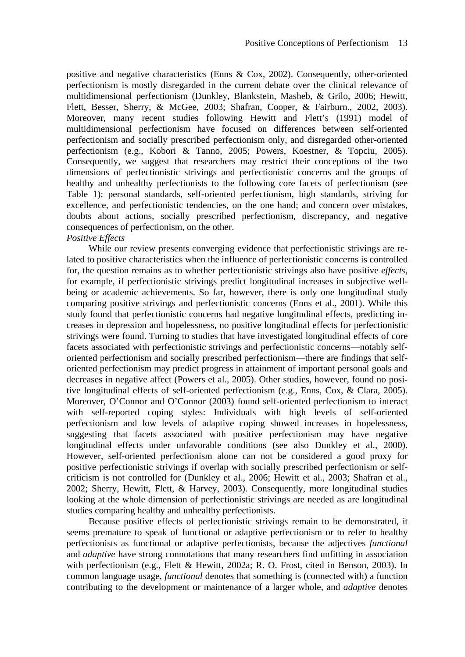positive and negative characteristics (Enns & Cox, 2002). Consequently, other-oriented perfectionism is mostly disregarded in the current debate over the clinical relevance of multidimensional perfectionism (Dunkley, Blankstein, Masheb, & Grilo, 2006; Hewitt, Flett, Besser, Sherry, & McGee, 2003; Shafran, Cooper, & Fairburn., 2002, 2003). Moreover, many recent studies following Hewitt and Flett's (1991) model of multidimensional perfectionism have focused on differences between self-oriented perfectionism and socially prescribed perfectionism only, and disregarded other-oriented perfectionism (e.g., Kobori & Tanno, 2005; Powers, Koestner, & Topciu, 2005). Consequently, we suggest that researchers may restrict their conceptions of the two dimensions of perfectionistic strivings and perfectionistic concerns and the groups of healthy and unhealthy perfectionists to the following core facets of perfectionism (see Table 1): personal standards, self-oriented perfectionism, high standards, striving for excellence, and perfectionistic tendencies, on the one hand; and concern over mistakes, doubts about actions, socially prescribed perfectionism, discrepancy, and negative consequences of perfectionism, on the other.

#### *Positive Effects*

While our review presents converging evidence that perfectionistic strivings are related to positive characteristics when the influence of perfectionistic concerns is controlled for, the question remains as to whether perfectionistic strivings also have positive *effects*, for example, if perfectionistic strivings predict longitudinal increases in subjective wellbeing or academic achievements. So far, however, there is only one longitudinal study comparing positive strivings and perfectionistic concerns (Enns et al., 2001). While this study found that perfectionistic concerns had negative longitudinal effects, predicting increases in depression and hopelessness, no positive longitudinal effects for perfectionistic strivings were found. Turning to studies that have investigated longitudinal effects of core facets associated with perfectionistic strivings and perfectionistic concerns—notably selforiented perfectionism and socially prescribed perfectionism—there are findings that selforiented perfectionism may predict progress in attainment of important personal goals and decreases in negative affect (Powers et al., 2005). Other studies, however, found no positive longitudinal effects of self-oriented perfectionism (e.g., Enns, Cox, & Clara, 2005). Moreover, O'Connor and O'Connor (2003) found self-oriented perfectionism to interact with self-reported coping styles: Individuals with high levels of self-oriented perfectionism and low levels of adaptive coping showed increases in hopelessness, suggesting that facets associated with positive perfectionism may have negative longitudinal effects under unfavorable conditions (see also Dunkley et al., 2000). However, self-oriented perfectionism alone can not be considered a good proxy for positive perfectionistic strivings if overlap with socially prescribed perfectionism or selfcriticism is not controlled for (Dunkley et al., 2006; Hewitt et al., 2003; Shafran et al., 2002; Sherry, Hewitt, Flett, & Harvey, 2003). Consequently, more longitudinal studies looking at the whole dimension of perfectionistic strivings are needed as are longitudinal studies comparing healthy and unhealthy perfectionists.

Because positive effects of perfectionistic strivings remain to be demonstrated, it seems premature to speak of functional or adaptive perfectionism or to refer to healthy perfectionists as functional or adaptive perfectionists, because the adjectives *functional* and *adaptive* have strong connotations that many researchers find unfitting in association with perfectionism (e.g., Flett & Hewitt, 2002a; R. O. Frost, cited in Benson, 2003). In common language usage, *functional* denotes that something is (connected with) a function contributing to the development or maintenance of a larger whole, and *adaptive* denotes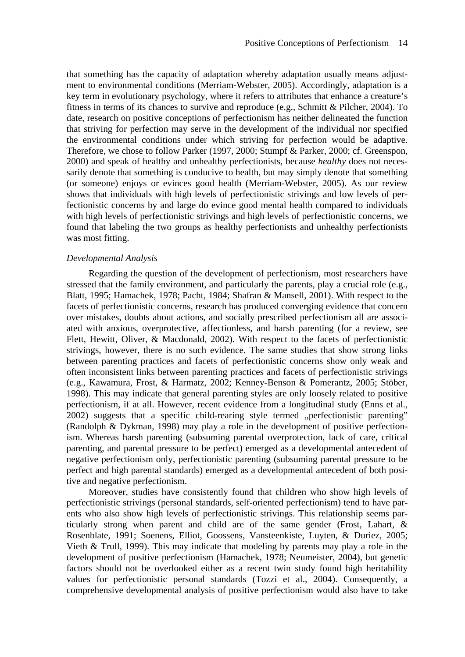that something has the capacity of adaptation whereby adaptation usually means adjustment to environmental conditions (Merriam-Webster, 2005). Accordingly, adaptation is a key term in evolutionary psychology, where it refers to attributes that enhance a creature's fitness in terms of its chances to survive and reproduce (e.g., Schmitt & Pilcher, 2004). To date, research on positive conceptions of perfectionism has neither delineated the function that striving for perfection may serve in the development of the individual nor specified the environmental conditions under which striving for perfection would be adaptive. Therefore, we chose to follow Parker (1997, 2000; Stumpf & Parker, 2000; cf. Greenspon, 2000) and speak of healthy and unhealthy perfectionists, because *healthy* does not necessarily denote that something is conducive to health, but may simply denote that something (or someone) enjoys or evinces good health (Merriam-Webster, 2005). As our review shows that individuals with high levels of perfectionistic strivings and low levels of perfectionistic concerns by and large do evince good mental health compared to individuals with high levels of perfectionistic strivings and high levels of perfectionistic concerns, we found that labeling the two groups as healthy perfectionists and unhealthy perfectionists was most fitting.

#### *Developmental Analysis*

Regarding the question of the development of perfectionism, most researchers have stressed that the family environment, and particularly the parents, play a crucial role (e.g., Blatt, 1995; Hamachek, 1978; Pacht, 1984; Shafran & Mansell, 2001). With respect to the facets of perfectionistic concerns, research has produced converging evidence that concern over mistakes, doubts about actions, and socially prescribed perfectionism all are associated with anxious, overprotective, affectionless, and harsh parenting (for a review, see Flett, Hewitt, Oliver, & Macdonald, 2002). With respect to the facets of perfectionistic strivings, however, there is no such evidence. The same studies that show strong links between parenting practices and facets of perfectionistic concerns show only weak and often inconsistent links between parenting practices and facets of perfectionistic strivings (e.g., Kawamura, Frost, & Harmatz, 2002; Kenney-Benson & Pomerantz, 2005; Stöber, 1998). This may indicate that general parenting styles are only loosely related to positive perfectionism, if at all. However, recent evidence from a longitudinal study (Enns et al., 2002) suggests that a specific child-rearing style termed "perfectionistic parenting" (Randolph & Dykman, 1998) may play a role in the development of positive perfectionism. Whereas harsh parenting (subsuming parental overprotection, lack of care, critical parenting, and parental pressure to be perfect) emerged as a developmental antecedent of negative perfectionism only, perfectionistic parenting (subsuming parental pressure to be perfect and high parental standards) emerged as a developmental antecedent of both positive and negative perfectionism.

Moreover, studies have consistently found that children who show high levels of perfectionistic strivings (personal standards, self-oriented perfectionism) tend to have parents who also show high levels of perfectionistic strivings. This relationship seems particularly strong when parent and child are of the same gender (Frost, Lahart, & Rosenblate, 1991; Soenens, Elliot, Goossens, Vansteenkiste, Luyten, & Duriez, 2005; Vieth & Trull, 1999). This may indicate that modeling by parents may play a role in the development of positive perfectionism (Hamachek, 1978; Neumeister, 2004), but genetic factors should not be overlooked either as a recent twin study found high heritability values for perfectionistic personal standards (Tozzi et al., 2004). Consequently, a comprehensive developmental analysis of positive perfectionism would also have to take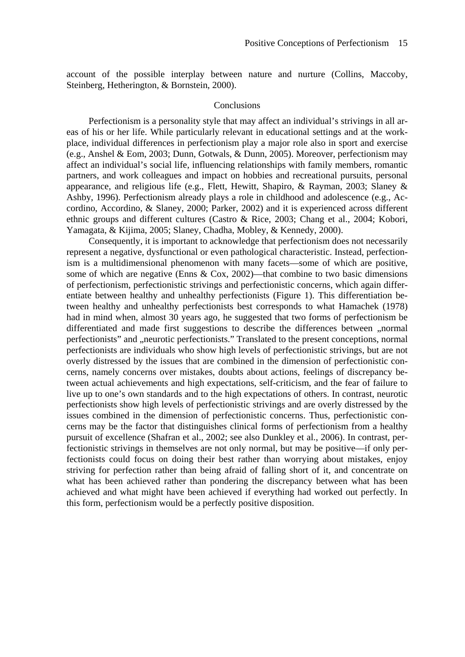account of the possible interplay between nature and nurture (Collins, Maccoby, Steinberg, Hetherington, & Bornstein, 2000).

#### Conclusions

Perfectionism is a personality style that may affect an individual's strivings in all areas of his or her life. While particularly relevant in educational settings and at the workplace, individual differences in perfectionism play a major role also in sport and exercise (e.g., Anshel & Eom, 2003; Dunn, Gotwals, & Dunn, 2005). Moreover, perfectionism may affect an individual's social life, influencing relationships with family members, romantic partners, and work colleagues and impact on hobbies and recreational pursuits, personal appearance, and religious life (e.g., Flett, Hewitt, Shapiro, & Rayman, 2003; Slaney & Ashby, 1996). Perfectionism already plays a role in childhood and adolescence (e.g., Accordino, Accordino, & Slaney, 2000; Parker, 2002) and it is experienced across different ethnic groups and different cultures (Castro & Rice, 2003; Chang et al., 2004; Kobori, Yamagata, & Kijima, 2005; Slaney, Chadha, Mobley, & Kennedy, 2000).

Consequently, it is important to acknowledge that perfectionism does not necessarily represent a negative, dysfunctional or even pathological characteristic. Instead, perfectionism is a multidimensional phenomenon with many facets—some of which are positive, some of which are negative (Enns  $& Cox, 2002$ )—that combine to two basic dimensions of perfectionism, perfectionistic strivings and perfectionistic concerns, which again differentiate between healthy and unhealthy perfectionists (Figure 1). This differentiation between healthy and unhealthy perfectionists best corresponds to what Hamachek (1978) had in mind when, almost 30 years ago, he suggested that two forms of perfectionism be differentiated and made first suggestions to describe the differences between "normal perfectionists" and "neurotic perfectionists." Translated to the present conceptions, normal perfectionists are individuals who show high levels of perfectionistic strivings, but are not overly distressed by the issues that are combined in the dimension of perfectionistic concerns, namely concerns over mistakes, doubts about actions, feelings of discrepancy between actual achievements and high expectations, self-criticism, and the fear of failure to live up to one's own standards and to the high expectations of others. In contrast, neurotic perfectionists show high levels of perfectionistic strivings and are overly distressed by the issues combined in the dimension of perfectionistic concerns. Thus, perfectionistic concerns may be the factor that distinguishes clinical forms of perfectionism from a healthy pursuit of excellence (Shafran et al., 2002; see also Dunkley et al., 2006). In contrast, perfectionistic strivings in themselves are not only normal, but may be positive—if only perfectionists could focus on doing their best rather than worrying about mistakes, enjoy striving for perfection rather than being afraid of falling short of it, and concentrate on what has been achieved rather than pondering the discrepancy between what has been achieved and what might have been achieved if everything had worked out perfectly. In this form, perfectionism would be a perfectly positive disposition.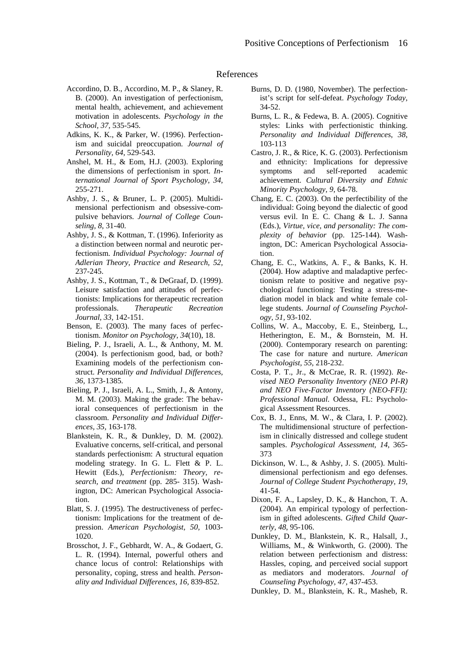#### References

- Accordino, D. B., Accordino, M. P., & Slaney, R. B. (2000). An investigation of perfectionism, mental health, achievement, and achievement motivation in adolescents. *Psychology in the School, 37,* 535-545.
- Adkins, K. K., & Parker, W. (1996). Perfectionism and suicidal preoccupation. *Journal of Personality, 64,* 529-543.
- Anshel, M. H., & Eom, H.J. (2003). Exploring the dimensions of perfectionism in sport. *International Journal of Sport Psychology, 34,* 255-271.
- Ashby, J. S., & Bruner, L. P. (2005). Multidimensional perfectionism and obsessive-compulsive behaviors. *Journal of College Counseling, 8*, 31-40.
- Ashby, J. S., & Kottman, T. (1996). Inferiority as a distinction between normal and neurotic perfectionism. *Individual Psychology: Journal of Adlerian Theory, Practice and Research, 52,* 237-245.
- Ashby, J. S., Kottman, T., & DeGraaf, D. (1999). Leisure satisfaction and attitudes of perfectionists: Implications for therapeutic recreation professionals. *Therapeutic Recreation Journal, 33,* 142-151.
- Benson, E. (2003). The many faces of perfectionism. *Monitor on Psychology, 34*(10), 18.
- Bieling, P. J., Israeli, A. L., & Anthony, M. M. (2004). Is perfectionism good, bad, or both? Examining models of the perfectionism construct. *Personality and Individual Differences, 36,* 1373-1385.
- Bieling, P. J., Israeli, A. L., Smith, J., & Antony, M. M. (2003). Making the grade: The behavioral consequences of perfectionism in the classroom. *Personality and Individual Differences, 35,* 163-178.
- Blankstein, K. R., & Dunkley, D. M. (2002). Evaluative concerns, self-critical, and personal standards perfectionism: A structural equation modeling strategy. In G. L. Flett & P. L. Hewitt (Eds.), *Perfectionism: Theory, research, and treatment* (pp. 285- 315). Washington, DC: American Psychological Association.
- Blatt, S. J. (1995). The destructiveness of perfectionism: Implications for the treatment of depression. *American Psychologist, 50,* 1003- 1020.
- Brosschot, J. F., Gebhardt, W. A., & Godaert, G. L. R. (1994). Internal, powerful others and chance locus of control: Relationships with personality, coping, stress and health. *Personality and Individual Differences, 16,* 839-852.
- Burns, D. D. (1980, November). The perfectionist's script for self-defeat. *Psychology Today,* 34-52.
- Burns, L. R., & Fedewa, B. A. (2005). Cognitive styles: Links with perfectionistic thinking. *Personality and Individual Differences*, *38*, 103-113
- Castro, J. R., & Rice, K. G. (2003). Perfectionism and ethnicity: Implications for depressive symptoms and self-reported academic achievement. *Cultural Diversity and Ethnic Minority Psychology, 9,* 64-78.
- Chang, E. C. (2003). On the perfectibility of the individual: Going beyond the dialectic of good versus evil. In E. C. Chang & L. J. Sanna (Eds.), *Virtue, vice, and personality: The complexity of behavior* (pp. 125-144). Washington, DC: American Psychological Association.
- Chang, E. C., Watkins, A. F., & Banks, K. H. (2004). How adaptive and maladaptive perfectionism relate to positive and negative psychological functioning: Testing a stress-mediation model in black and white female college students. *Journal of Counseling Psychology, 51,* 93-102.
- Collins, W. A., Maccoby, E. E., Steinberg, L., Hetherington, E. M., & Bornstein, M. H. (2000). Contemporary research on parenting: The case for nature and nurture. *American Psychologist, 55,* 218-232.
- Costa, P. T., Jr., & McCrae, R. R. (1992). *Revised NEO Personality Inventory (NEO PI-R) and NEO Five-Factor Inventory (NEO-FFI): Professional Manual*. Odessa, FL: Psychological Assessment Resources.
- Cox, B. J., Enns, M. W., & Clara, I. P. (2002). The multidimensional structure of perfectionism in clinically distressed and college student samples. *Psychological Assessment, 14,* 365- 373
- Dickinson, W. L., & Ashby, J. S. (2005). Multidimensional perfectionism and ego defenses. *Journal of College Student Psychotherapy, 19*, 41-54.
- Dixon, F. A., Lapsley, D. K., & Hanchon, T. A. (2004). An empirical typology of perfectionism in gifted adolescents. *Gifted Child Quarterly, 48*, 95-106.
- Dunkley, D. M., Blankstein, K. R., Halsall, J., Williams, M., & Winkworth, G. (2000). The relation between perfectionism and distress: Hassles, coping, and perceived social support as mediators and moderators. *Journal of Counseling Psychology, 47,* 437-453.
- Dunkley, D. M., Blankstein, K. R., Masheb, R.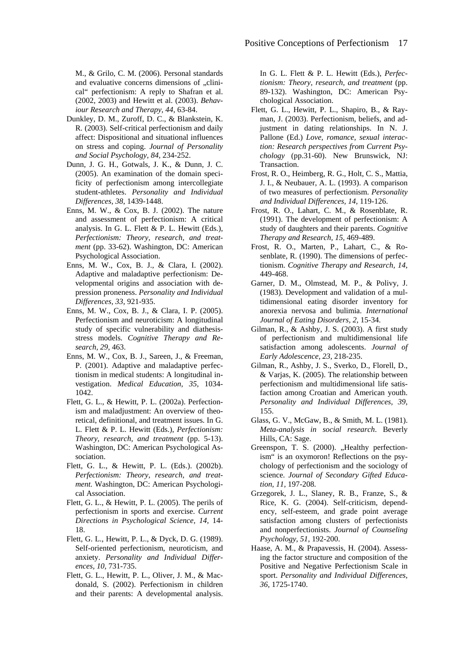M., & Grilo, C. M. (2006). Personal standards and evaluative concerns dimensions of "clinical" perfectionism: A reply to Shafran et al. (2002, 2003) and Hewitt et al. (2003). *Behaviour Research and Therapy, 44,* 63-84.

- Dunkley, D. M., Zuroff, D. C., & Blankstein, K. R. (2003). Self-critical perfectionism and daily affect: Dispositional and situational influences on stress and coping. *Journal of Personality and Social Psychology, 84,* 234-252.
- Dunn, J. G. H., Gotwals, J. K., & Dunn, J. C. (2005). An examination of the domain specificity of perfectionism among intercollegiate student-athletes. *Personality and Individual Differences, 38*, 1439-1448.
- Enns, M. W., & Cox, B. J. (2002). The nature and assessment of perfectionism: A critical analysis. In G. L. Flett & P. L. Hewitt (Eds.), *Perfectionism: Theory, research, and treatment* (pp. 33-62). Washington, DC: American Psychological Association.
- Enns, M. W., Cox, B. J., & Clara, I. (2002). Adaptive and maladaptive perfectionism: Developmental origins and association with depression proneness. *Personality and Individual Differences, 33,* 921-935.
- Enns, M. W., Cox, B. J., & Clara, I. P. (2005). Perfectionism and neuroticism: A longitudinal study of specific vulnerability and diathesisstress models. *Cognitive Therapy and Research, 29*, 463.
- Enns, M. W., Cox, B. J., Sareen, J., & Freeman, P. (2001). Adaptive and maladaptive perfectionism in medical students: A longitudinal investigation. *Medical Education, 35,* 1034- 1042.
- Flett, G. L., & Hewitt, P. L. (2002a). Perfectionism and maladjustment: An overview of theoretical, definitional, and treatment issues. In G. L. Flett & P. L. Hewitt (Eds.), *Perfectionism: Theory, research, and treatment* (pp. 5-13). Washington, DC: American Psychological Association.
- Flett, G. L., & Hewitt, P. L. (Eds.). (2002b). *Perfectionism: Theory, research, and treatment.* Washington, DC: American Psychological Association.
- Flett, G. L., & Hewitt, P. L. (2005). The perils of perfectionism in sports and exercise. *Current Directions in Psychological Science, 14*, 14- 18.
- Flett, G. L., Hewitt, P. L., & Dyck, D. G. (1989). Self-oriented perfectionism, neuroticism, and anxiety. *Personality and Individual Differences, 10,* 731-735.
- Flett, G. L., Hewitt, P. L., Oliver, J. M., & Macdonald, S. (2002). Perfectionism in children and their parents: A developmental analysis.

In G. L. Flett & P. L. Hewitt (Eds.), *Perfectionism: Theory, research, and treatment* (pp. 89-132). Washington, DC: American Psychological Association.

- Flett, G. L., Hewitt, P. L., Shapiro, B., & Rayman, J. (2003). Perfectionism, beliefs, and adjustment in dating relationships. In N. J. Pallone (Ed.) *Love, romance, sexual interaction: Research perspectives from Current Psychology* (pp.31-60). New Brunswick, NJ: Transaction.
- Frost, R. O., Heimberg, R. G., Holt, C. S., Mattia, J. I., & Neubauer, A. L. (1993). A comparison of two measures of perfectionism. *Personality and Individual Differences, 14,* 119-126.
- Frost, R. O., Lahart, C. M., & Rosenblate, R. (1991). The development of perfectionism: A study of daughters and their parents. *Cognitive Therapy and Research, 15,* 469-489.
- Frost, R. O., Marten, P., Lahart, C., & Rosenblate, R. (1990). The dimensions of perfectionism. *Cognitive Therapy and Research, 14,* 449-468.
- Garner, D. M., Olmstead, M. P., & Polivy, J. (1983). Development and validation of a multidimensional eating disorder inventory for anorexia nervosa and bulimia. *International Journal of Eating Disorders, 2,* 15-34.
- Gilman, R., & Ashby, J. S. (2003). A first study of perfectionism and multidimensional life satisfaction among adolescents. *Journal of Early Adolescence, 23,* 218-235.
- Gilman, R., Ashby, J. S., Sverko, D., Florell, D., & Varjas, K. (2005). The relationship between perfectionism and multidimensional life satisfaction among Croatian and American youth. *Personality and Individual Differences, 39*, 155.
- Glass, G. V., McGaw, B., & Smith, M. L. (1981). *Meta-analysis in social research*. Beverly Hills, CA: Sage.
- Greenspon, T. S. (2000). "Healthy perfectionism" is an oxymoron! Reflections on the psychology of perfectionism and the sociology of science. *Journal of Secondary Gifted Education, 11,* 197-208.
- Grzegorek, J. L., Slaney, R. B., Franze, S., & Rice, K. G. (2004). Self-criticism, dependency, self-esteem, and grade point average satisfaction among clusters of perfectionists and nonperfectionists. *Journal of Counseling Psychology, 51,* 192-200.
- Haase, A. M., & Prapavessis, H. (2004). Assessing the factor structure and composition of the Positive and Negative Perfectionism Scale in sport. *Personality and Individual Differences, 36,* 1725-1740.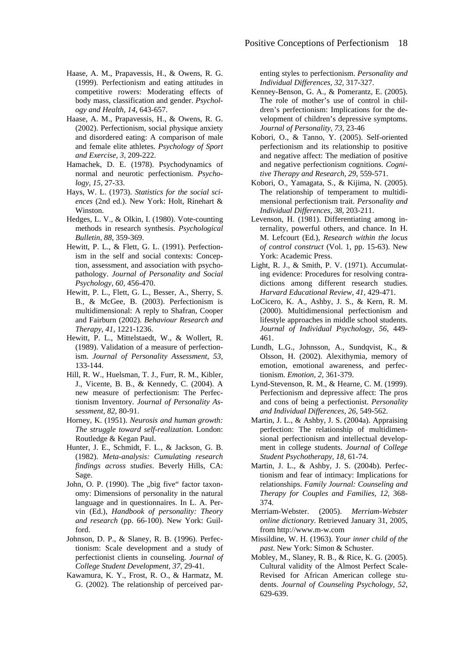- Haase, A. M., Prapavessis, H., & Owens, R. G. (1999). Perfectionism and eating attitudes in competitive rowers: Moderating effects of body mass, classification and gender. *Psychology and Health, 14,* 643-657.
- Haase, A. M., Prapavessis, H., & Owens, R. G. (2002). Perfectionism, social physique anxiety and disordered eating: A comparison of male and female elite athletes. *Psychology of Sport and Exercise, 3,* 209-222.
- Hamachek, D. E. (1978). Psychodynamics of normal and neurotic perfectionism. *Psychology, 15,* 27-33.
- Hays, W. L. (1973). *Statistics for the social sciences* (2nd ed.). New York: Holt, Rinehart & Winston.
- Hedges, L. V., & Olkin, I. (1980). Vote-counting methods in research synthesis. *Psychological Bulletin, 88*, 359-369.
- Hewitt, P. L., & Flett, G. L. (1991). Perfectionism in the self and social contexts: Conception, assessment, and association with psychopathology. *Journal of Personality and Social Psychology, 60,* 456-470.
- Hewitt, P. L., Flett, G. L., Besser, A., Sherry, S. B., & McGee, B. (2003). Perfectionism is multidimensional: A reply to Shafran, Cooper and Fairburn (2002). *Behaviour Research and Therapy*, *41*, 1221-1236.
- Hewitt, P. L., Mittelstaedt, W., & Wollert, R. (1989). Validation of a measure of perfectionism. *Journal of Personality Assessment, 53,* 133-144.
- Hill, R. W., Huelsman, T. J., Furr, R. M., Kibler, J., Vicente, B. B., & Kennedy, C. (2004). A new measure of perfectionism: The Perfectionism Inventory. *Journal of Personality Assessment, 82,* 80-91.
- Horney, K. (1951). *Neurosis and human growth: The struggle toward self-realization.* London: Routledge & Kegan Paul.
- Hunter, J. E., Schmidt, F. L., & Jackson, G. B. (1982). *Meta-analysis: Cumulating research findings across studies*. Beverly Hills, CA: Sage.
- John, O. P. (1990). The "big five" factor taxonomy: Dimensions of personality in the natural language and in questionnaires. In L. A. Pervin (Ed.), *Handbook of personality: Theory and research* (pp. 66-100). New York: Guilford.
- Johnson, D. P., & Slaney, R. B. (1996). Perfectionism: Scale development and a study of perfectionist clients in counseling. *Journal of College Student Development, 37,* 29-41.
- Kawamura, K. Y., Frost, R. O., & Harmatz, M. G. (2002). The relationship of perceived par-

enting styles to perfectionism. *Personality and Individual Differences, 32,* 317-327.

- Kenney-Benson, G. A., & Pomerantz, E. (2005). The role of mother's use of control in children's perfectionism: Implications for the development of children's depressive symptoms. *Journal of Personality, 73*, 23-46
- Kobori, O., & Tanno, Y. (2005). Self-oriented perfectionism and its relationship to positive and negative affect: The mediation of positive and negative perfectionism cognitions. *Cognitive Therapy and Research, 29*, 559-571.
- Kobori, O., Yamagata, S., & Kijima, N. (2005). The relationship of temperament to multidimensional perfectionism trait. *Personality and Individual Differences, 38*, 203-211.
- Levenson, H. (1981). Differentiating among internality, powerful others, and chance. In H. M. Lefcourt (Ed.), *Research within the locus of control construct* (Vol. 1, pp. 15-63). New York: Academic Press.
- Light, R. J., & Smith, P. V. (1971). Accumulating evidence: Procedures for resolving contradictions among different research studies. *Harvard Educational Review, 41,* 429-471.
- LoCicero, K. A., Ashby, J. S., & Kern, R. M. (2000). Multidimensional perfectionism and lifestyle approaches in middle school students. *Journal of Individual Psychology, 56,* 449- 461.
- Lundh, L.G., Johnsson, A., Sundqvist, K., & Olsson, H. (2002). Alexithymia, memory of emotion, emotional awareness, and perfectionism. *Emotion, 2,* 361-379.
- Lynd-Stevenson, R. M., & Hearne, C. M. (1999). Perfectionism and depressive affect: The pros and cons of being a perfectionist. *Personality and Individual Differences, 26,* 549-562.
- Martin, J. L., & Ashby, J. S. (2004a). Appraising perfection: The relationship of multidimensional perfectionism and intellectual development in college students. *Journal of College Student Psychotherapy, 18,* 61-74.
- Martin, J. L., & Ashby, J. S. (2004b). Perfectionism and fear of intimacy: Implications for relationships. *Family Journal: Counseling and Therapy for Couples and Families, 12,* 368- 374.
- Merriam-Webster. (2005). *Merriam-Webster online dictionary.* Retrieved January 31, 2005, from http://www.m-w.com
- Missildine, W. H. (1963). *Your inner child of the past.* New York: Simon & Schuster.
- Mobley, M., Slaney, R. B., & Rice, K. G. (2005). Cultural validity of the Almost Perfect Scale-Revised for African American college students. *Journal of Counseling Psychology, 52*, 629-639.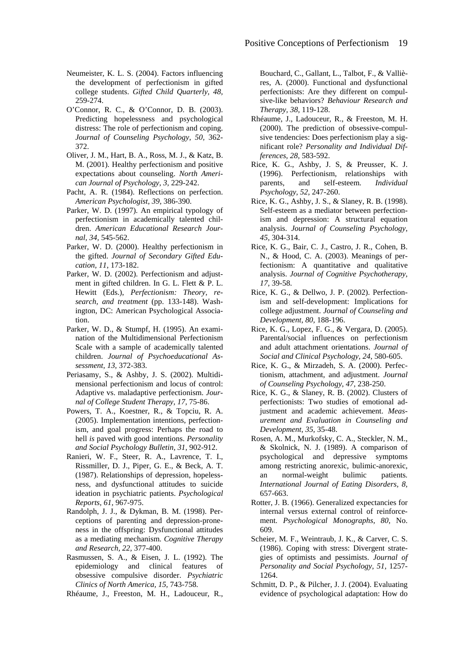- Neumeister, K. L. S. (2004). Factors influencing the development of perfectionism in gifted college students. *Gifted Child Quarterly, 48,* 259-274.
- O'Connor, R. C., & O'Connor, D. B. (2003). Predicting hopelessness and psychological distress: The role of perfectionism and coping. *Journal of Counseling Psychology, 50,* 362- 372.
- Oliver, J. M., Hart, B. A., Ross, M. J., & Katz, B. M. (2001). Healthy perfectionism and positive expectations about counseling. *North American Journal of Psychology, 3,* 229-242.
- Pacht, A. R. (1984). Reflections on perfection. *American Psychologist, 39,* 386-390.
- Parker, W. D. (1997). An empirical typology of perfectionism in academically talented children. *American Educational Research Journal, 34,* 545-562.
- Parker, W. D. (2000). Healthy perfectionism in the gifted. *Journal of Secondary Gifted Education, 11*, 173-182.
- Parker, W. D. (2002). Perfectionism and adjustment in gifted children. In G. L. Flett & P. L. Hewitt (Eds.), *Perfectionism: Theory, research, and treatment* (pp. 133-148). Washington, DC: American Psychological Association.
- Parker, W. D., & Stumpf, H. (1995). An examination of the Multidimensional Perfectionism Scale with a sample of academically talented children. *Journal of Psychoeducational Assessment, 13,* 372-383.
- Periasamy, S., & Ashby, J. S. (2002). Multidimensional perfectionism and locus of control: Adaptive vs. maladaptive perfectionism. *Journal of College Student Therapy, 17,* 75-86.
- Powers, T. A., Koestner, R., & Topciu, R. A. (2005). Implementation intentions, perfectionism, and goal progress: Perhaps the road to hell *is* paved with good intentions. *Personality and Social Psychology Bulletin, 31*, 902-912.
- Ranieri, W. F., Steer, R. A., Lavrence, T. I., Rissmiller, D. J., Piper, G. E., & Beck, A. T. (1987). Relationships of depression, hopelessness, and dysfunctional attitudes to suicide ideation in psychiatric patients. *Psychological Reports, 61,* 967-975.
- Randolph, J. J., & Dykman, B. M. (1998). Perceptions of parenting and depression-proneness in the offspring: Dysfunctional attitudes as a mediating mechanism. *Cognitive Therapy and Research, 22,* 377-400.
- Rasmussen, S. A., & Eisen, J. L. (1992). The epidemiology and clinical features of obsessive compulsive disorder. *Psychiatric Clinics of North America, 15,* 743-758.
- Rhéaume, J., Freeston, M. H., Ladouceur, R.,

Bouchard, C., Gallant, L., Talbot, F., & Vallières, A. (2000). Functional and dysfunctional perfectionists: Are they different on compulsive-like behaviors? *Behaviour Research and Therapy, 38,* 119-128.

- Rhéaume, J., Ladouceur, R., & Freeston, M. H. (2000). The prediction of obsessive-compulsive tendencies: Does perfectionism play a significant role? *Personality and Individual Differences, 28,* 583-592.
- Rice, K. G., Ashby, J. S, & Preusser, K. J. (1996). Perfectionism, relationships with parents, and self-esteem. *Individual Psychology, 52,* 247-260.
- Rice, K. G., Ashby, J. S., & Slaney, R. B. (1998). Self-esteem as a mediator between perfectionism and depression: A structural equation analysis. *Journal of Counseling Psychology, 45,* 304-314.
- Rice, K. G., Bair, C. J., Castro, J. R., Cohen, B. N., & Hood, C. A. (2003). Meanings of perfectionism: A quantitative and qualitative analysis. *Journal of Cognitive Psychotherapy, 17,* 39-58.
- Rice, K. G., & Dellwo, J. P. (2002). Perfectionism and self-development: Implications for college adjustment. *Journal of Counseling and Development, 80,* 188-196.
- Rice, K. G., Lopez, F. G., & Vergara, D. (2005). Parental/social influences on perfectionism and adult attachment orientations. *Journal of Social and Clinical Psychology, 24*, 580-605.
- Rice, K. G., & Mirzadeh, S. A. (2000). Perfectionism, attachment, and adjustment. *Journal of Counseling Psychology*, *47*, 238-250.
- Rice, K. G., & Slaney, R. B. (2002). Clusters of perfectionists: Two studies of emotional adjustment and academic achievement. *Measurement and Evaluation in Counseling and Development, 35,* 35-48.
- Rosen, A. M., Murkofsky, C. A., Steckler, N. M., & Skolnick, N. J. (1989). A comparison of psychological and depressive symptoms among restricting anorexic, bulimic-anorexic, an normal-weight bulimic patients*. International Journal of Eating Disorders, 8,* 657-663.
- Rotter, J. B. (1966). Generalized expectancies for internal versus external control of reinforcement. *Psychological Monographs, 80,* No. 609.
- Scheier, M. F., Weintraub, J. K., & Carver, C. S. (1986). Coping with stress: Divergent strategies of optimists and pessimists. *Journal of Personality and Social Psychology, 51,* 1257- 1264.
- Schmitt, D. P., & Pilcher, J. J. (2004). Evaluating evidence of psychological adaptation: How do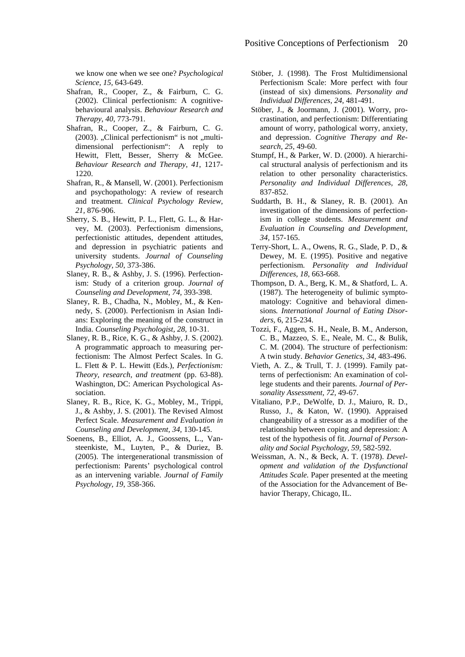we know one when we see one? *Psychological Science, 15,* 643-649.

- Shafran, R., Cooper, Z., & Fairburn, C. G. (2002). Clinical perfectionism: A cognitivebehavioural analysis. *Behaviour Research and Therapy*, *40*, 773-791.
- Shafran, R., Cooper, Z., & Fairburn, C. G.  $(2003)$ . "Clinical perfectionism" is not "multidimensional perfectionism": A reply to Hewitt, Flett, Besser, Sherry & McGee. *Behaviour Research and Therapy, 41*, 1217- 1220.
- Shafran, R., & Mansell, W. (2001). Perfectionism and psychopathology: A review of research and treatment. *Clinical Psychology Review, 21,* 876-906.
- Sherry, S. B., Hewitt, P. L., Flett, G. L., & Harvey, M. (2003). Perfectionism dimensions, perfectionistic attitudes, dependent attitudes, and depression in psychiatric patients and university students. *Journal of Counseling Psychology, 50*, 373-386.
- Slaney, R. B., & Ashby, J. S. (1996). Perfectionism: Study of a criterion group. *Journal of Counseling and Development, 74,* 393-398.
- Slaney, R. B., Chadha, N., Mobley, M., & Kennedy, S. (2000). Perfectionism in Asian Indians: Exploring the meaning of the construct in India. *Counseling Psychologist, 28,* 10-31.
- Slaney, R. B., Rice, K. G., & Ashby, J. S. (2002). A programmatic approach to measuring perfectionism: The Almost Perfect Scales. In G. L. Flett & P. L. Hewitt (Eds.), *Perfectionism: Theory, research, and treatment* (pp. 63-88). Washington, DC: American Psychological Association.
- Slaney, R. B., Rice, K. G., Mobley, M., Trippi, J., & Ashby, J. S. (2001). The Revised Almost Perfect Scale. *Measurement and Evaluation in Counseling and Development, 34,* 130-145.
- Soenens, B., Elliot, A. J., Goossens, L., Vansteenkiste, M., Luyten, P., & Duriez, B. (2005). The intergenerational transmission of perfectionism: Parents' psychological control as an intervening variable. *Journal of Family Psychology, 19*, 358-366.
- Stöber, J. (1998). The Frost Multidimensional Perfectionism Scale: More perfect with four (instead of six) dimensions. *Personality and Individual Differences, 24,* 481-491.
- Stöber, J., & Joormann, J. (2001). Worry, procrastination, and perfectionism: Differentiating amount of worry, pathological worry, anxiety, and depression. *Cognitive Therapy and Research, 25*, 49-60.
- Stumpf, H., & Parker, W. D. (2000). A hierarchical structural analysis of perfectionism and its relation to other personality characteristics. *Personality and Individual Differences, 28,* 837-852.
- Suddarth, B. H., & Slaney, R. B. (2001). An investigation of the dimensions of perfectionism in college students. *Measurement and Evaluation in Counseling and Development, 34,* 157-165.
- Terry-Short, L. A., Owens, R. G., Slade, P. D., & Dewey, M. E. (1995). Positive and negative perfectionism. *Personality and Individual Differences, 18,* 663-668.
- Thompson, D. A., Berg, K. M., & Shatford, L. A. (1987). The heterogeneity of bulimic symptomatology: Cognitive and behavioral dimensions*. International Journal of Eating Disorders,* 6, 215-234.
- Tozzi, F., Aggen, S. H., Neale, B. M., Anderson, C. B., Mazzeo, S. E., Neale, M. C., & Bulik, C. M. (2004). The structure of perfectionism: A twin study. *Behavior Genetics, 34,* 483-496.
- Vieth, A. Z., & Trull, T. J. (1999). Family patterns of perfectionism: An examination of college students and their parents. *Journal of Personality Assessment, 72,* 49-67.
- Vitaliano, P.P., DeWolfe, D. J., Maiuro, R. D., Russo, J., & Katon, W. (1990). Appraised changeability of a stressor as a modifier of the relationship between coping and depression: A test of the hypothesis of fit. *Journal of Personality and Social Psychology, 59,* 582-592.
- Weissman, A. N., & Beck, A. T. (1978). *Development and validation of the Dysfunctional Attitudes Scale.* Paper presented at the meeting of the Association for the Advancement of Behavior Therapy, Chicago, IL.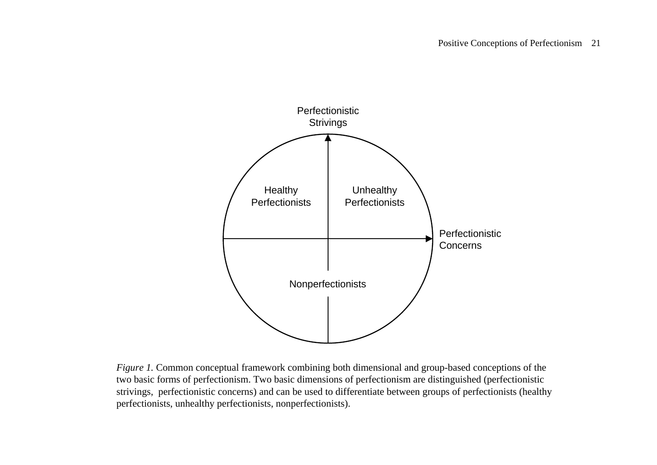

*Figure 1.* Common conceptual framework combining both dimensional and group-based conceptions of the two basic forms of perfectionism. Two basic dimensions of perfectionism are distinguished (perfectionistic strivings, perfectionistic concerns) and can be used to differentiate between groups of perfectionists (healthy perfectionists, unhealthy perfectionists, nonperfectionists).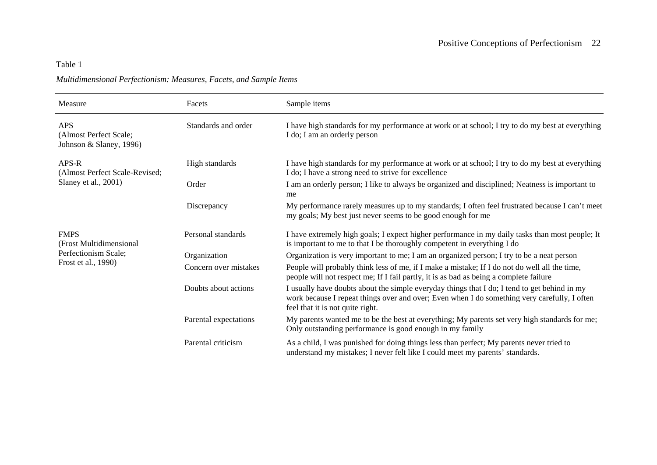#### Table 1

#### *Multidimensional Perfectionism: Measures, Facets, and Sample Items*

| Measure                                                            | Facets                | Sample items                                                                                                                                                                                                                     |
|--------------------------------------------------------------------|-----------------------|----------------------------------------------------------------------------------------------------------------------------------------------------------------------------------------------------------------------------------|
| <b>APS</b><br>(Almost Perfect Scale;<br>Johnson & Slaney, $1996$ ) | Standards and order   | I have high standards for my performance at work or at school; I try to do my best at everything<br>I do; I am an orderly person                                                                                                 |
| APS-R<br>(Almost Perfect Scale-Revised;                            | High standards        | I have high standards for my performance at work or at school; I try to do my best at everything<br>I do; I have a strong need to strive for excellence                                                                          |
| Slaney et al., 2001)                                               | Order                 | I am an orderly person; I like to always be organized and disciplined; Neatness is important to<br>me                                                                                                                            |
|                                                                    | Discrepancy           | My performance rarely measures up to my standards; I often feel frustrated because I can't meet<br>my goals; My best just never seems to be good enough for me                                                                   |
| <b>FMPS</b><br>(Frost Multidimensional)                            | Personal standards    | I have extremely high goals; I expect higher performance in my daily tasks than most people; It<br>is important to me to that I be thoroughly competent in everything I do                                                       |
| Perfectionism Scale;                                               | Organization          | Organization is very important to me; I am an organized person; I try to be a neat person                                                                                                                                        |
|                                                                    | Concern over mistakes | People will probably think less of me, if I make a mistake; If I do not do well all the time,<br>people will not respect me; If I fail partly, it is as bad as being a complete failure                                          |
|                                                                    | Doubts about actions  | I usually have doubts about the simple everyday things that I do; I tend to get behind in my<br>work because I repeat things over and over; Even when I do something very carefully, I often<br>feel that it is not quite right. |
|                                                                    | Parental expectations | My parents wanted me to be the best at everything; My parents set very high standards for me;<br>Only outstanding performance is good enough in my family                                                                        |
| Frost et al., 1990)                                                | Parental criticism    | As a child, I was punished for doing things less than perfect; My parents never tried to<br>understand my mistakes; I never felt like I could meet my parents' standards.                                                        |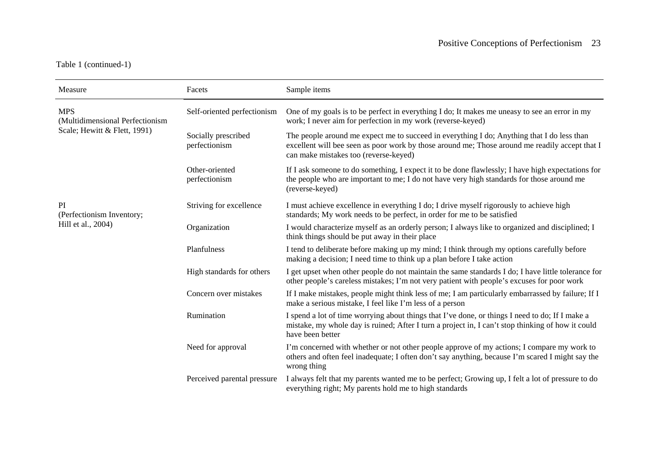#### Table 1 (continued-1)

| Measure                                       | Facets                               | Sample items                                                                                                                                                                                                                          |
|-----------------------------------------------|--------------------------------------|---------------------------------------------------------------------------------------------------------------------------------------------------------------------------------------------------------------------------------------|
| <b>MPS</b><br>(Multidimensional Perfectionism | Self-oriented perfectionism          | One of my goals is to be perfect in everything I do; It makes me uneasy to see an error in my<br>work; I never aim for perfection in my work (reverse-keyed)                                                                          |
| Scale; Hewitt & Flett, 1991)                  | Socially prescribed<br>perfectionism | The people around me expect me to succeed in everything I do; Anything that I do less than<br>excellent will bee seen as poor work by those around me; Those around me readily accept that I<br>can make mistakes too (reverse-keyed) |
|                                               | Other-oriented<br>perfectionism      | If I ask someone to do something, I expect it to be done flawlessly; I have high expectations for<br>the people who are important to me; I do not have very high standards for those around me<br>(reverse-keyed)                     |
| PI<br>(Perfectionism Inventory;               | Striving for excellence              | I must achieve excellence in everything I do; I drive myself rigorously to achieve high<br>standards; My work needs to be perfect, in order for me to be satisfied                                                                    |
| Hill et al., 2004)                            | Organization                         | I would characterize myself as an orderly person; I always like to organized and disciplined; I<br>think things should be put away in their place                                                                                     |
|                                               | Planfulness                          | I tend to deliberate before making up my mind; I think through my options carefully before<br>making a decision; I need time to think up a plan before I take action                                                                  |
|                                               | High standards for others            | I get upset when other people do not maintain the same standards I do; I have little tolerance for<br>other people's careless mistakes; I'm not very patient with people's excuses for poor work                                      |
|                                               | Concern over mistakes                | If I make mistakes, people might think less of me; I am particularly embarrassed by failure; If I<br>make a serious mistake, I feel like I'm less of a person                                                                         |
|                                               | Rumination                           | I spend a lot of time worrying about things that I've done, or things I need to do; If I make a<br>mistake, my whole day is ruined; After I turn a project in, I can't stop thinking of how it could<br>have been better              |
|                                               | Need for approval                    | I'm concerned with whether or not other people approve of my actions; I compare my work to<br>others and often feel inadequate; I often don't say anything, because I'm scared I might say the<br>wrong thing                         |
|                                               | Perceived parental pressure          | I always felt that my parents wanted me to be perfect; Growing up, I felt a lot of pressure to do<br>everything right; My parents hold me to high standards                                                                           |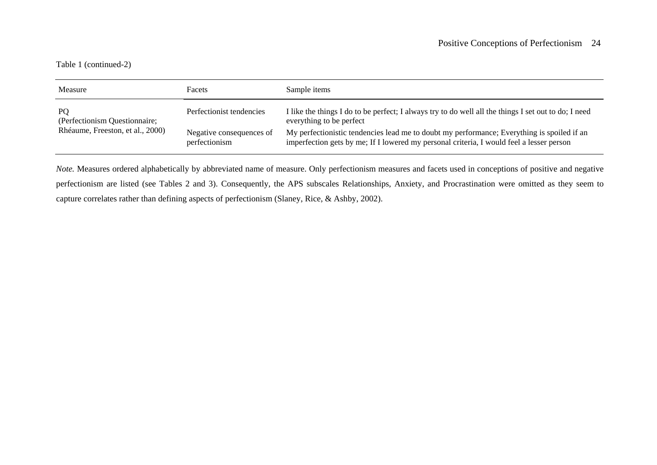#### Table 1 (continued-2)

| Measure                                                                        | Facets                                    | Sample items                                                                                                                                                                           |
|--------------------------------------------------------------------------------|-------------------------------------------|----------------------------------------------------------------------------------------------------------------------------------------------------------------------------------------|
| <b>PQ</b><br>(Perfectionism Questionnaire;<br>Rhéaume, Freeston, et al., 2000) | Perfectionist tendencies                  | I like the things I do to be perfect; I always try to do well all the things I set out to do; I need<br>everything to be perfect                                                       |
|                                                                                | Negative consequences of<br>perfectionism | My perfectionistic tendencies lead me to doubt my performance; Everything is spoiled if an<br>imperfection gets by me; If I lowered my personal criteria, I would feel a lesser person |

*Note.* Measures ordered alphabetically by abbreviated name of measure. Only perfectionism measures and facets used in conceptions of positive and negative perfectionism are listed (see Tables 2 and 3). Consequently, the APS subscales Relationships, Anxiety, and Procrastination were omitted as they seem to capture correlates rather than defining aspects of perfectionism (Slaney, Rice, & Ashby, 2002).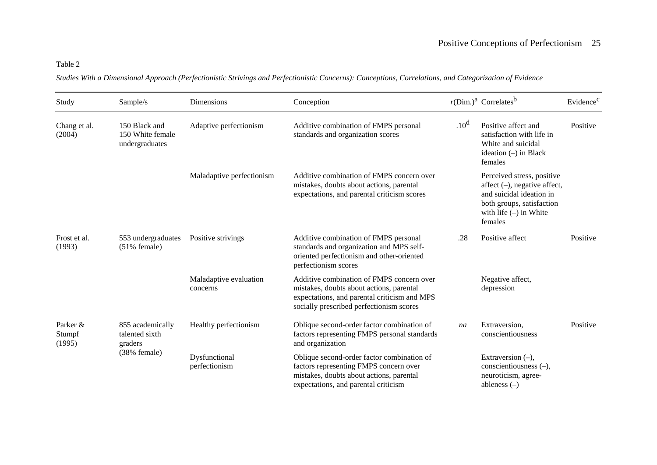#### Table 2

*Studies With a Dimensional Approach (Perfectionistic Strivings and Perfectionistic Concerns): Conceptions, Correlations, and Categorization of Evidence* 

| Study                                                                   | Sample/s                                            | Dimensions                                                                                                                                             | Conception                                                                                                                                                                        |                  | $r(Dim.)^a$ Correlates <sup>b</sup>                                                                                                                           | Evidence <sup>c</sup> |
|-------------------------------------------------------------------------|-----------------------------------------------------|--------------------------------------------------------------------------------------------------------------------------------------------------------|-----------------------------------------------------------------------------------------------------------------------------------------------------------------------------------|------------------|---------------------------------------------------------------------------------------------------------------------------------------------------------------|-----------------------|
| Chang et al.<br>(2004)                                                  | 150 Black and<br>150 White female<br>undergraduates | Adaptive perfectionism                                                                                                                                 | Additive combination of FMPS personal<br>standards and organization scores                                                                                                        | .10 <sup>d</sup> | Positive affect and<br>satisfaction with life in<br>White and suicidal<br>ideation $(-)$ in Black<br>females                                                  | Positive              |
|                                                                         |                                                     | Maladaptive perfectionism                                                                                                                              | Additive combination of FMPS concern over<br>mistakes, doubts about actions, parental<br>expectations, and parental criticism scores                                              |                  | Perceived stress, positive<br>affect $(-)$ , negative affect,<br>and suicidal ideation in<br>both groups, satisfaction<br>with life $(-)$ in White<br>females |                       |
| Frost et al.<br>553 undergraduates<br>(1993)<br>$(51\% \text{ female})$ | Positive strivings                                  | Additive combination of FMPS personal<br>standards and organization and MPS self-<br>oriented perfectionism and other-oriented<br>perfectionism scores | .28                                                                                                                                                                               | Positive affect  | Positive                                                                                                                                                      |                       |
|                                                                         |                                                     | Maladaptive evaluation<br>concerns                                                                                                                     | Additive combination of FMPS concern over<br>mistakes, doubts about actions, parental<br>expectations, and parental criticism and MPS<br>socially prescribed perfectionism scores |                  | Negative affect,<br>depression                                                                                                                                |                       |
| Parker &<br>Stumpf<br>(1995)                                            | 855 academically<br>talented sixth<br>graders       | Healthy perfectionism                                                                                                                                  | Oblique second-order factor combination of<br>factors representing FMPS personal standards<br>and organization                                                                    | na               | Extraversion,<br>conscientiousness                                                                                                                            | Positive              |
|                                                                         | $(38%$ female)                                      | Dysfunctional<br>perfectionism                                                                                                                         | Oblique second-order factor combination of<br>factors representing FMPS concern over<br>mistakes, doubts about actions, parental<br>expectations, and parental criticism          |                  | Extraversion $(-)$ ,<br>conscientiousness (-),<br>neuroticism, agree-<br>ableness $(-)$                                                                       |                       |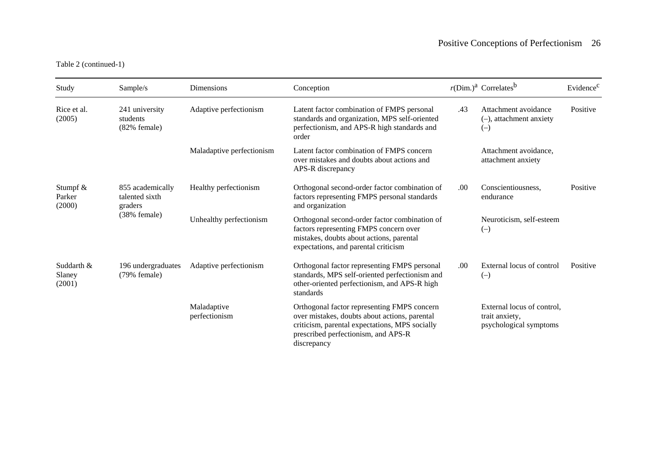Table 2 (continued-1)

| Study                                                                                              | Sample/s                                   | Dimensions                                                                                                        | Conception                                                                                                                                                                                           |                                 | $r(Dim.)^a$ Correlates <sup>b</sup>                                    | Evidence <sup>c</sup> |
|----------------------------------------------------------------------------------------------------|--------------------------------------------|-------------------------------------------------------------------------------------------------------------------|------------------------------------------------------------------------------------------------------------------------------------------------------------------------------------------------------|---------------------------------|------------------------------------------------------------------------|-----------------------|
| Rice et al.<br>(2005)                                                                              | 241 university<br>students<br>(82% female) | Adaptive perfectionism                                                                                            | Latent factor combination of FMPS personal<br>standards and organization, MPS self-oriented<br>perfectionism, and APS-R high standards and<br>order                                                  | .43                             | Attachment avoidance<br>$(-)$ , attachment anxiety<br>$(-)$            | Positive              |
|                                                                                                    |                                            | Maladaptive perfectionism                                                                                         | Latent factor combination of FMPS concern<br>over mistakes and doubts about actions and<br>APS-R discrepancy                                                                                         |                                 | Attachment avoidance,<br>attachment anxiety                            |                       |
| 855 academically<br>Stumpf $\&$<br>talented sixth<br>Parker<br>(2000)<br>graders<br>$(38%$ female) | Healthy perfectionism                      | Orthogonal second-order factor combination of<br>factors representing FMPS personal standards<br>and organization | .00.                                                                                                                                                                                                 | Conscientiousness,<br>endurance | Positive                                                               |                       |
|                                                                                                    |                                            | Unhealthy perfectionism                                                                                           | Orthogonal second-order factor combination of<br>factors representing FMPS concern over<br>mistakes, doubts about actions, parental<br>expectations, and parental criticism                          |                                 | Neuroticism, self-esteem<br>$(-)$                                      |                       |
| Suddarth &<br>Slaney<br>(2001)                                                                     | 196 undergraduates<br>(79% female)         | Adaptive perfectionism                                                                                            | Orthogonal factor representing FMPS personal<br>standards, MPS self-oriented perfectionism and<br>other-oriented perfectionism, and APS-R high<br>standards                                          | .00.                            | External locus of control<br>$(-)$                                     | Positive              |
|                                                                                                    |                                            | Maladaptive<br>perfectionism                                                                                      | Orthogonal factor representing FMPS concern<br>over mistakes, doubts about actions, parental<br>criticism, parental expectations, MPS socially<br>prescribed perfectionism, and APS-R<br>discrepancy |                                 | External locus of control,<br>trait anxiety,<br>psychological symptoms |                       |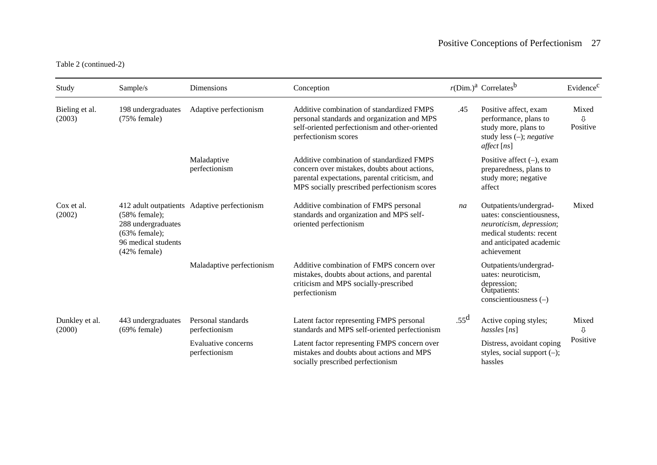Table 2 (continued-2)

| Study                    | Sample/s                                                                                                   | Dimensions                                   | Conception                                                                                                                                                                                  |                  | $r(Dim.)^a$ Correlates <sup>b</sup>                                                                                                                    | Evidence <sup>c</sup>  |
|--------------------------|------------------------------------------------------------------------------------------------------------|----------------------------------------------|---------------------------------------------------------------------------------------------------------------------------------------------------------------------------------------------|------------------|--------------------------------------------------------------------------------------------------------------------------------------------------------|------------------------|
| Bieling et al.<br>(2003) | 198 undergraduates<br>(75% female)                                                                         | Adaptive perfectionism                       | Additive combination of standardized FMPS<br>personal standards and organization and MPS<br>self-oriented perfectionism and other-oriented<br>perfectionism scores                          | .45              | Positive affect, exam<br>performance, plans to<br>study more, plans to<br>study less $(-)$ ; <i>negative</i><br>$affect$ [ns]                          | Mixed<br>⇩<br>Positive |
|                          |                                                                                                            | Maladaptive<br>perfectionism                 | Additive combination of standardized FMPS<br>concern over mistakes, doubts about actions,<br>parental expectations, parental criticism, and<br>MPS socially prescribed perfectionism scores |                  | Positive affect $(-)$ , exam<br>preparedness, plans to<br>study more; negative<br>affect                                                               |                        |
| Cox et al.<br>(2002)     | $(58\% \text{ female});$<br>288 undergraduates<br>$(63%$ female);<br>96 medical students<br>$(42%$ female) | 412 adult outpatients Adaptive perfectionism | Additive combination of FMPS personal<br>standards and organization and MPS self-<br>oriented perfectionism                                                                                 | na               | Outpatients/undergrad-<br>uates: conscientiousness.<br>neuroticism, depression;<br>medical students: recent<br>and anticipated academic<br>achievement | Mixed                  |
|                          |                                                                                                            | Maladaptive perfectionism                    | Additive combination of FMPS concern over<br>mistakes, doubts about actions, and parental<br>criticism and MPS socially-prescribed<br>perfectionism                                         |                  | Outpatients/undergrad-<br>uates: neuroticism,<br>depression;<br>Outpatients:<br>conscientiousness $(-)$                                                |                        |
| Dunkley et al.<br>(2000) | 443 undergraduates<br>$(69%$ female)                                                                       | Personal standards<br>perfectionism          | Latent factor representing FMPS personal<br>standards and MPS self-oriented perfectionism                                                                                                   | .55 <sup>d</sup> | Active coping styles;<br>hassles [ns]                                                                                                                  | Mixed<br>⇩             |
|                          |                                                                                                            | Evaluative concerns<br>perfectionism         | Latent factor representing FMPS concern over<br>mistakes and doubts about actions and MPS<br>socially prescribed perfectionism                                                              |                  | Distress, avoidant coping<br>styles, social support $(-)$ ;<br>hassles                                                                                 | Positive               |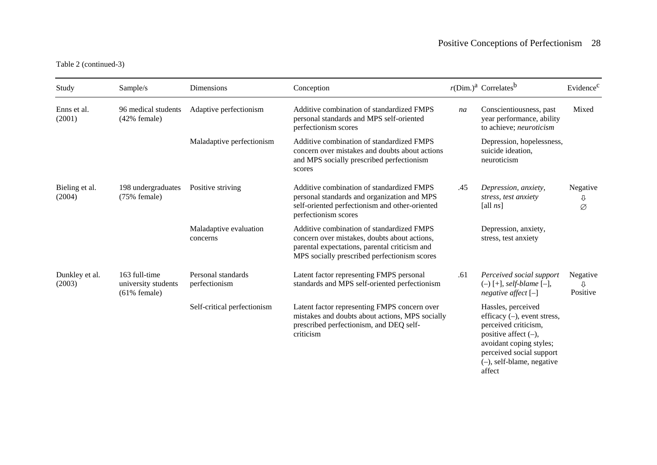Table 2 (continued-3)

| Study                    | Sample/s                                                        | Dimensions                          | Conception                                                                                                                                                                                 |     | $r(Dim.)^a$ Correlates <sup>b</sup>                                                                                                                                                                      | Evidence <sup>c</sup>     |
|--------------------------|-----------------------------------------------------------------|-------------------------------------|--------------------------------------------------------------------------------------------------------------------------------------------------------------------------------------------|-----|----------------------------------------------------------------------------------------------------------------------------------------------------------------------------------------------------------|---------------------------|
| Enns et al.<br>(2001)    | 96 medical students<br>$(42%$ female)                           | Adaptive perfectionism              | Additive combination of standardized FMPS<br>personal standards and MPS self-oriented<br>perfectionism scores                                                                              | na  | Conscientiousness, past<br>year performance, ability<br>to achieve; neuroticism                                                                                                                          | Mixed                     |
|                          |                                                                 | Maladaptive perfectionism           | Additive combination of standardized FMPS<br>concern over mistakes and doubts about actions<br>and MPS socially prescribed perfectionism<br>scores                                         |     | Depression, hopelessness,<br>suicide ideation,<br>neuroticism                                                                                                                                            |                           |
| Bieling et al.<br>(2004) | 198 undergraduates<br>(75% female)                              | Positive striving                   | Additive combination of standardized FMPS<br>personal standards and organization and MPS<br>self-oriented perfectionism and other-oriented<br>perfectionism scores                         | .45 | Depression, anxiety,<br>stress, test anxiety<br>[all $ns$ ]                                                                                                                                              | Negative<br>⇩<br>Ø        |
|                          |                                                                 | Maladaptive evaluation<br>concerns  | Additive combination of standardized FMPS<br>concern over mistakes, doubts about actions,<br>parental expectations, parental criticism and<br>MPS socially prescribed perfectionism scores |     | Depression, anxiety,<br>stress, test anxiety                                                                                                                                                             |                           |
| Dunkley et al.<br>(2003) | 163 full-time<br>university students<br>$(61\% \text{ female})$ | Personal standards<br>perfectionism | Latent factor representing FMPS personal<br>standards and MPS self-oriented perfectionism                                                                                                  | .61 | Perceived social support<br>$(-)$ [+], <i>self-blame</i> [-],<br>negative affect $[-]$                                                                                                                   | Negative<br>⇩<br>Positive |
|                          |                                                                 | Self-critical perfectionism         | Latent factor representing FMPS concern over<br>mistakes and doubts about actions, MPS socially<br>prescribed perfectionism, and DEQ self-<br>criticism                                    |     | Hassles, perceived<br>efficacy $(-)$ , event stress,<br>perceived criticism,<br>positive affect $(-)$ ,<br>avoidant coping styles;<br>perceived social support<br>$(-)$ , self-blame, negative<br>affect |                           |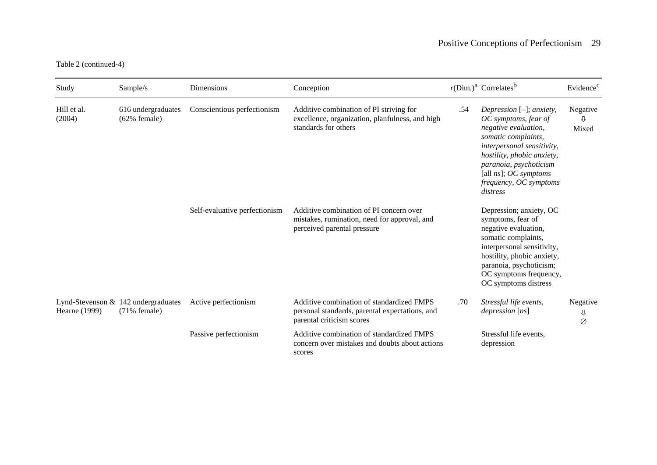Table 2 (continued-4)

| Study                 | Sample/s                                                         | Dimensions                    | Conception                                                                                                               |     | $r(Dim.)^a$ Correlates <sup>b</sup>                                                                                                                                                                                                                        | Evidence <sup>c</sup>  |
|-----------------------|------------------------------------------------------------------|-------------------------------|--------------------------------------------------------------------------------------------------------------------------|-----|------------------------------------------------------------------------------------------------------------------------------------------------------------------------------------------------------------------------------------------------------------|------------------------|
| Hill et al.<br>(2004) | 616 undergraduates<br>$(62%$ female)                             | Conscientious perfectionism   | Additive combination of PI striving for<br>excellence, organization, planfulness, and high<br>standards for others       | .54 | Depression $[-]$ ; anxiety,<br>OC symptoms, fear of<br>negative evaluation,<br>somatic complaints,<br>interpersonal sensitivity,<br>hostility, phobic anxiety,<br>paranoia, psychoticism<br>[all $ns$ ]; OC symptoms<br>frequency, OC symptoms<br>distress | Negative<br>⇩<br>Mixed |
|                       |                                                                  | Self-evaluative perfectionism | Additive combination of PI concern over<br>mistakes, rumination, need for approval, and<br>perceived parental pressure   |     | Depression; anxiety, OC<br>symptoms, fear of<br>negative evaluation,<br>somatic complaints,<br>interpersonal sensitivity,<br>hostility, phobic anxiety,<br>paranoia, psychoticism;<br>OC symptoms frequency,<br>OC symptoms distress                       |                        |
| Hearne (1999)         | Lynd-Stevenson $& 142$ undergraduates<br>$(71\% \text{ female})$ | Active perfectionism          | Additive combination of standardized FMPS<br>personal standards, parental expectations, and<br>parental criticism scores | .70 | Stressful life events,<br>depression [ns]                                                                                                                                                                                                                  | Negative<br>⇩<br>Ø     |
|                       |                                                                  | Passive perfectionism         | Additive combination of standardized FMPS<br>concern over mistakes and doubts about actions<br>scores                    |     | Stressful life events,<br>depression                                                                                                                                                                                                                       |                        |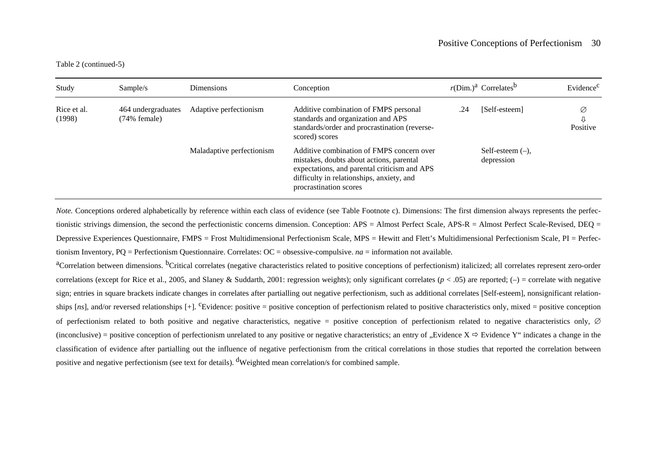Table 2 (continued-5)

| Study                 | Sample/s                           | <b>Dimensions</b>         | Conception                                                                                                                                                                                                   |     | $r(Dim.)^a$ Correlates <sup>b</sup> | Evidence <sup>c</sup> |
|-----------------------|------------------------------------|---------------------------|--------------------------------------------------------------------------------------------------------------------------------------------------------------------------------------------------------------|-----|-------------------------------------|-----------------------|
| Rice et al.<br>(1998) | 464 undergraduates<br>(74% female) | Adaptive perfectionism    | Additive combination of FMPS personal<br>standards and organization and APS<br>standards/order and procrastination (reverse-<br>scored) scores                                                               | .24 | [Self-esteem]                       | Ø<br>⇩<br>Positive    |
|                       |                                    | Maladaptive perfectionism | Additive combination of FMPS concern over<br>mistakes, doubts about actions, parental<br>expectations, and parental criticism and APS<br>difficulty in relationships, anxiety, and<br>procrastination scores |     | Self-esteem $(-)$ ,<br>depression   |                       |

*Note*. Conceptions ordered alphabetically by reference within each class of evidence (see Table Footnote c). Dimensions: The first dimension always represents the perfectionistic strivings dimension, the second the perfectionistic concerns dimension. Conception: APS = Almost Perfect Scale, APS-R = Almost Perfect Scale-Revised, DEQ = Depressive Experiences Questionnaire, FMPS = Frost Multidimensional Perfectionism Scale, MPS = Hewitt and Flett's Multidimensional Perfectionism Scale, PI = Perfectionism Inventory, PQ = Perfectionism Questionnaire. Correlates: OC = obsessive-compulsive. *na* = information not available.

<sup>a</sup>Correlation between dimensions. <sup>b</sup>Critical correlates (negative characteristics related to positive conceptions of perfectionism) italicized; all correlates represent zero-order correlations (except for Rice et al., 2005, and Slaney & Suddarth, 2001: regression weights); only significant correlates ( $p < .05$ ) are reported; (-) = correlate with negative sign; entries in square brackets indicate changes in correlates after partialling out negative perfectionism, such as additional correlates [Self-esteem], nonsignificant relationships  $[ns]$ , and/or reversed relationships  $[+]$ . <sup>C</sup>Evidence: positive = positive conception of perfectionism related to positive characteristics only, mixed = positive conception of perfectionism related to both positive and negative characteristics, negative = positive conception of perfectionism related to negative characteristics only,  $\varnothing$ (inconclusive) = positive conception of perfectionism unrelated to any positive or negative characteristics; an entry of "Evidence  $X \Rightarrow$  Evidence  $Y''$  indicates a change in the classification of evidence after partialling out the influence of negative perfectionism from the critical correlations in those studies that reported the correlation between positive and negative perfectionism (see text for details). dWeighted mean correlation/s for combined sample.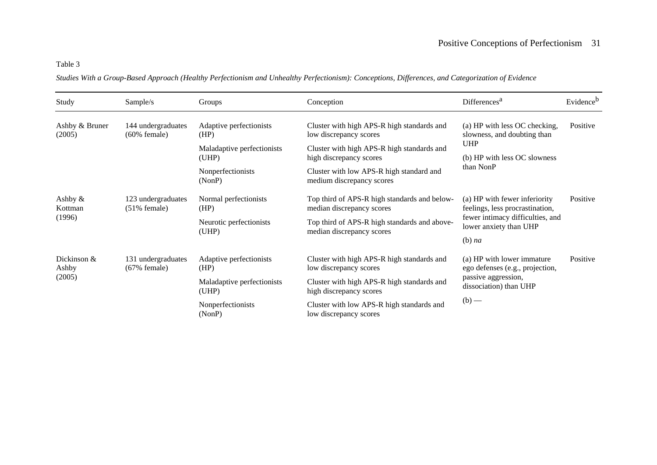#### Table 3

#### *Studies With a Group-Based Approach (Healthy Perfectionism and Unhealthy Perfectionism): Conceptions, Differences, and Categorization of Evidence*

| Study                                            | Sample/s                                      | Groups                              | Conception                                                                | Differences <sup>a</sup>                                                                                                       | Evidence <sup>b</sup> |
|--------------------------------------------------|-----------------------------------------------|-------------------------------------|---------------------------------------------------------------------------|--------------------------------------------------------------------------------------------------------------------------------|-----------------------|
| Ashby & Bruner<br>(2005)                         | 144 undergraduates<br>$(60\% \text{ female})$ | Adaptive perfectionists<br>(HP)     | Cluster with high APS-R high standards and<br>low discrepancy scores      | (a) HP with less OC checking,<br>slowness, and doubting than                                                                   | Positive              |
|                                                  |                                               | Maladaptive perfectionists<br>(UHP) | Cluster with high APS-R high standards and<br>high discrepancy scores     | <b>UHP</b><br>(b) HP with less OC slowness                                                                                     |                       |
|                                                  |                                               | Nonperfectionists<br>(NonP)         | Cluster with low APS-R high standard and<br>medium discrepancy scores     | than NonP                                                                                                                      |                       |
| Ashby $\&$<br>$(51\% \text{ female})$<br>Kottman | 123 undergraduates                            | Normal perfectionists<br>(HP)       | Top third of APS-R high standards and below-<br>median discrepancy scores | (a) HP with fewer inferiority<br>feelings, less procrastination,<br>fewer intimacy difficulties, and<br>lower anxiety than UHP | Positive              |
| (1996)                                           |                                               | Neurotic perfectionists<br>(UHP)    | Top third of APS-R high standards and above-<br>median discrepancy scores |                                                                                                                                |                       |
|                                                  |                                               |                                     |                                                                           | $(b)$ na                                                                                                                       |                       |
| Dickinson &<br>Ashby                             | 131 undergraduates<br>$(67%$ female)          | Adaptive perfectionists<br>(HP)     | Cluster with high APS-R high standards and<br>low discrepancy scores      | (a) HP with lower immature<br>ego defenses (e.g., projection,                                                                  | Positive              |
| (2005)                                           |                                               | Maladaptive perfectionists<br>(UHP) | Cluster with high APS-R high standards and<br>high discrepancy scores     | passive aggression,<br>dissociation) than UHP<br>$(b)$ —                                                                       |                       |
|                                                  |                                               | Nonperfectionists<br>(NonP)         | Cluster with low APS-R high standards and<br>low discrepancy scores       |                                                                                                                                |                       |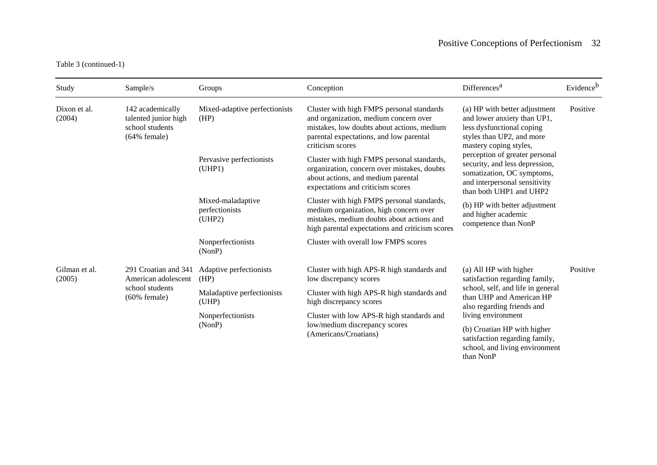than NonP

Table 3 (continued-1)

| Study                   | Sample/s                                                                      | Groups                                               | Conception                                                                                                                                                                                      | Differences <sup>a</sup>                                                                                                                                                                                                                                                                                                                                                                       | Evidence <sup>b</sup> |
|-------------------------|-------------------------------------------------------------------------------|------------------------------------------------------|-------------------------------------------------------------------------------------------------------------------------------------------------------------------------------------------------|------------------------------------------------------------------------------------------------------------------------------------------------------------------------------------------------------------------------------------------------------------------------------------------------------------------------------------------------------------------------------------------------|-----------------------|
| Dixon et al.<br>(2004)  | 142 academically<br>talented junior high<br>school students<br>$(64%$ female) | Mixed-adaptive perfectionists<br>(HP)                | Cluster with high FMPS personal standards<br>and organization, medium concern over<br>mistakes, low doubts about actions, medium<br>parental expectations, and low parental<br>criticism scores | (a) HP with better adjustment<br>and lower anxiety than UP1,<br>less dysfunctional coping<br>styles than UP2, and more<br>mastery coping styles,<br>perception of greater personal<br>security, and less depression,<br>somatization, OC symptoms,<br>and interpersonal sensitivity<br>than both UHP1 and UHP2<br>(b) HP with better adjustment<br>and higher academic<br>competence than NonP | Positive              |
|                         |                                                                               | Pervasive perfectionists<br>(UHP1)                   | Cluster with high FMPS personal standards,<br>organization, concern over mistakes, doubts<br>about actions, and medium parental<br>expectations and criticism scores                            |                                                                                                                                                                                                                                                                                                                                                                                                |                       |
|                         |                                                                               | Mixed-maladaptive<br>perfectionists<br>(UHP2)        | Cluster with high FMPS personal standards,<br>medium organization, high concern over<br>mistakes, medium doubts about actions and<br>high parental expectations and criticism scores            |                                                                                                                                                                                                                                                                                                                                                                                                |                       |
|                         |                                                                               | Nonperfectionists<br>(NonP)                          | Cluster with overall low FMPS scores                                                                                                                                                            |                                                                                                                                                                                                                                                                                                                                                                                                |                       |
| Gilman et al.<br>(2005) | 291 Croatian and 341<br>American adolescent                                   | Adaptive perfectionists<br>(HP)                      | Cluster with high APS-R high standards and<br>low discrepancy scores                                                                                                                            | (a) All HP with higher<br>satisfaction regarding family,<br>school, self, and life in general<br>than UHP and American HP<br>also regarding friends and                                                                                                                                                                                                                                        | Positive              |
|                         | school students<br>$(60\% \text{ female})$                                    | Maladaptive perfectionists<br>(UHP)                  | Cluster with high APS-R high standards and<br>high discrepancy scores                                                                                                                           |                                                                                                                                                                                                                                                                                                                                                                                                |                       |
|                         |                                                                               | Nonperfectionists<br>(NonP)<br>(Americans/Croatians) | Cluster with low APS-R high standards and                                                                                                                                                       | living environment                                                                                                                                                                                                                                                                                                                                                                             |                       |
|                         |                                                                               |                                                      | low/medium discrepancy scores                                                                                                                                                                   | (b) Croatian HP with higher<br>satisfaction regarding family,<br>school, and living environment                                                                                                                                                                                                                                                                                                |                       |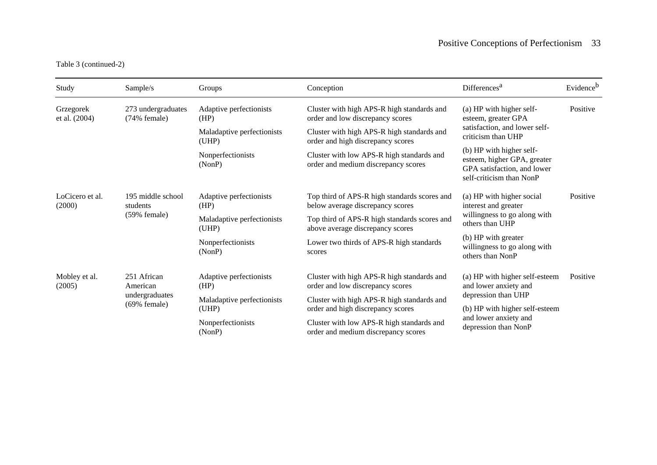Table 3 (continued-2)

| Study                      | Sample/s                           | Groups                              | Conception                                                                       | Differences <sup>a</sup>                                                                                                                                          | Evidence <sup>b</sup> |
|----------------------------|------------------------------------|-------------------------------------|----------------------------------------------------------------------------------|-------------------------------------------------------------------------------------------------------------------------------------------------------------------|-----------------------|
| Grzegorek<br>et al. (2004) | 273 undergraduates<br>(74% female) | Adaptive perfectionists<br>(HP)     | Cluster with high APS-R high standards and<br>order and low discrepancy scores   | (a) HP with higher self-<br>esteem, greater GPA                                                                                                                   | Positive              |
|                            |                                    | Maladaptive perfectionists<br>(UHP) | Cluster with high APS-R high standards and<br>order and high discrepancy scores  | satisfaction, and lower self-<br>criticism than UHP                                                                                                               |                       |
|                            |                                    | Nonperfectionists<br>(NonP)         | Cluster with low APS-R high standards and<br>order and medium discrepancy scores | (b) HP with higher self-<br>esteem, higher GPA, greater<br>GPA satisfaction, and lower<br>self-criticism than NonP                                                |                       |
| LoCicero et al.<br>(2000)  | 195 middle school<br>students      | Adaptive perfectionists<br>(HP)     | Top third of APS-R high standards scores and<br>below average discrepancy scores | (a) HP with higher social<br>interest and greater<br>willingness to go along with<br>others than UHP                                                              | Positive              |
|                            | (59% female)                       | Maladaptive perfectionists<br>(UHP) | Top third of APS-R high standards scores and<br>above average discrepancy scores |                                                                                                                                                                   |                       |
|                            |                                    | Nonperfectionists<br>(NonP)         | Lower two thirds of APS-R high standards<br>scores                               | (b) HP with greater<br>willingness to go along with<br>others than NonP                                                                                           |                       |
| Mobley et al.<br>(2005)    | 251 African<br>American            | Adaptive perfectionists<br>(HP)     | Cluster with high APS-R high standards and<br>order and low discrepancy scores   | (a) HP with higher self-esteem<br>and lower anxiety and<br>depression than UHP<br>(b) HP with higher self-esteem<br>and lower anxiety and<br>depression than NonP | Positive              |
|                            | undergraduates<br>$(69%$ female)   | Maladaptive perfectionists<br>(UHP) | Cluster with high APS-R high standards and<br>order and high discrepancy scores  |                                                                                                                                                                   |                       |
|                            |                                    | Nonperfectionists<br>(NonP)         | Cluster with low APS-R high standards and<br>order and medium discrepancy scores |                                                                                                                                                                   |                       |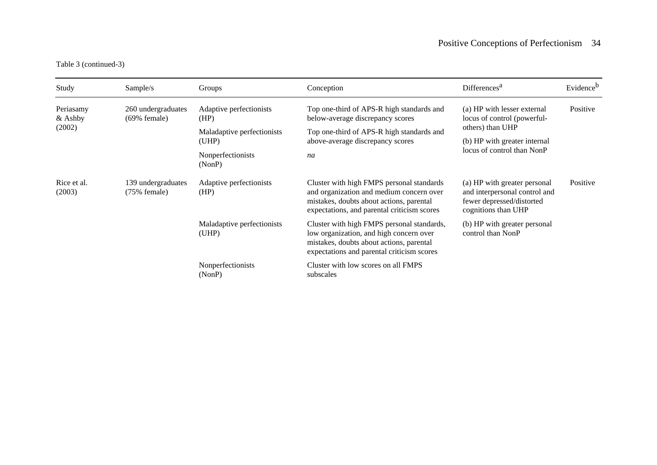Table 3 (continued-3)

| Study                            | Sample/s                             | Groups                                                                                                | Conception                                                                                                                                                                       | Differences <sup>a</sup>                                                                                                                     | Evidence <sup>b</sup> |
|----------------------------------|--------------------------------------|-------------------------------------------------------------------------------------------------------|----------------------------------------------------------------------------------------------------------------------------------------------------------------------------------|----------------------------------------------------------------------------------------------------------------------------------------------|-----------------------|
| Periasamy<br>$&$ Ashby<br>(2002) | 260 undergraduates<br>$(69%$ female) | Adaptive perfectionists<br>(HP)<br>Maladaptive perfectionists<br>(UHP)<br>Nonperfectionists<br>(NonP) | Top one-third of APS-R high standards and<br>below-average discrepancy scores<br>Top one-third of APS-R high standards and<br>above-average discrepancy scores<br>na             | (a) HP with lesser external<br>locus of control (powerful-<br>others) than UHP<br>(b) HP with greater internal<br>locus of control than NonP | Positive              |
| Rice et al.<br>(2003)            | 139 undergraduates<br>(75% female)   | Adaptive perfectionists<br>(HP)                                                                       | Cluster with high FMPS personal standards<br>and organization and medium concern over<br>mistakes, doubts about actions, parental<br>expectations, and parental criticism scores | (a) HP with greater personal<br>and interpersonal control and<br>fewer depressed/distorted<br>cognitions than UHP                            | Positive              |
|                                  |                                      | Maladaptive perfectionists<br>(UHP)                                                                   | Cluster with high FMPS personal standards,<br>low organization, and high concern over<br>mistakes, doubts about actions, parental<br>expectations and parental criticism scores  | (b) HP with greater personal<br>control than NonP                                                                                            |                       |
|                                  |                                      | Nonperfectionists<br>(NonP)                                                                           | Cluster with low scores on all FMPS<br>subscales                                                                                                                                 |                                                                                                                                              |                       |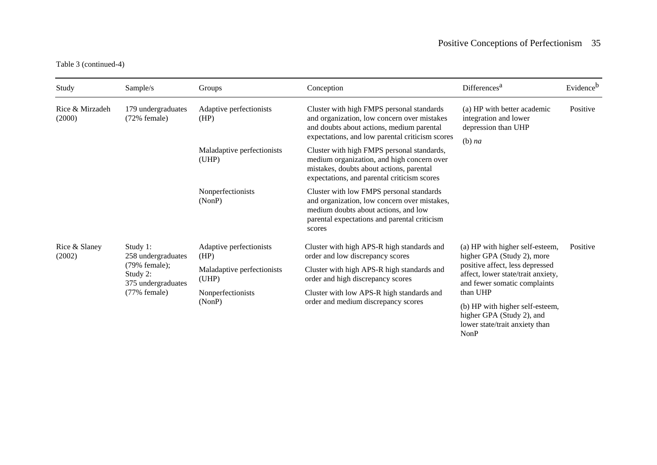Table 3 (continued-4)

| Study                     | Sample/s                                                                                            | Groups                              | Conception                                                                                                                                                                                 | Differences <sup>a</sup>                                                                                                                                                           | Evidence <sup>b</sup> |
|---------------------------|-----------------------------------------------------------------------------------------------------|-------------------------------------|--------------------------------------------------------------------------------------------------------------------------------------------------------------------------------------------|------------------------------------------------------------------------------------------------------------------------------------------------------------------------------------|-----------------------|
| Rice & Mirzadeh<br>(2000) | 179 undergraduates<br>$(72%$ female)                                                                | Adaptive perfectionists<br>(HP)     | Cluster with high FMPS personal standards<br>and organization, low concern over mistakes<br>and doubts about actions, medium parental<br>expectations, and low parental criticism scores   | (a) HP with better academic<br>integration and lower<br>depression than UHP<br>$(b)$ na                                                                                            | Positive              |
|                           |                                                                                                     | Maladaptive perfectionists<br>(UHP) | Cluster with high FMPS personal standards,<br>medium organization, and high concern over<br>mistakes, doubts about actions, parental<br>expectations, and parental criticism scores        |                                                                                                                                                                                    |                       |
|                           |                                                                                                     | Nonperfectionists<br>(NonP)         | Cluster with low FMPS personal standards<br>and organization, low concern over mistakes,<br>medium doubts about actions, and low<br>parental expectations and parental criticism<br>scores |                                                                                                                                                                                    |                       |
| Rice & Slaney<br>(2002)   | Study 1:<br>258 undergraduates<br>$(79%$ female);<br>Study 2:<br>375 undergraduates<br>(77% female) | Adaptive perfectionists<br>(HP)     | Cluster with high APS-R high standards and<br>order and low discrepancy scores                                                                                                             | (a) HP with higher self-esteem,<br>higher GPA (Study 2), more<br>positive affect, less depressed<br>affect, lower state/trait anxiety,<br>and fewer somatic complaints<br>than UHP | Positive              |
|                           |                                                                                                     | Maladaptive perfectionists<br>(UHP) | Cluster with high APS-R high standards and<br>order and high discrepancy scores                                                                                                            |                                                                                                                                                                                    |                       |
|                           |                                                                                                     | Nonperfectionists<br>(NonP)         | Cluster with low APS-R high standards and<br>order and medium discrepancy scores                                                                                                           |                                                                                                                                                                                    |                       |
|                           |                                                                                                     |                                     |                                                                                                                                                                                            | (b) HP with higher self-esteem,<br>higher GPA (Study 2), and<br>lower state/trait anxiety than                                                                                     |                       |

NonP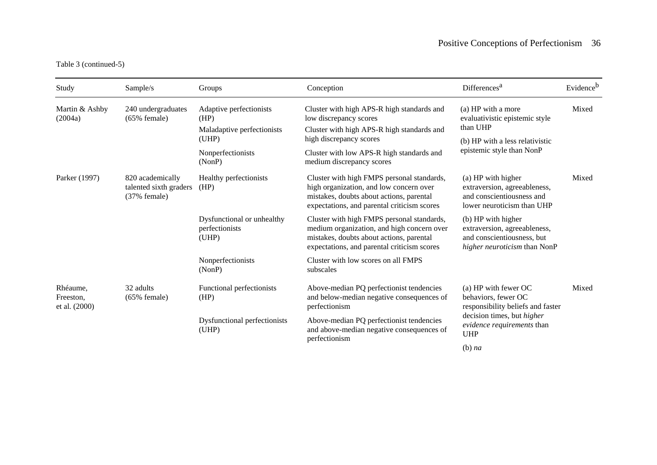Table 3 (continued-5)

| Study                                  | Sample/s                                                   | Groups                                                                                                | Conception                                                                                                                                                                                                              | Differences <sup>a</sup>                                                                                                                                                      | Evidence <sup>b</sup> |
|----------------------------------------|------------------------------------------------------------|-------------------------------------------------------------------------------------------------------|-------------------------------------------------------------------------------------------------------------------------------------------------------------------------------------------------------------------------|-------------------------------------------------------------------------------------------------------------------------------------------------------------------------------|-----------------------|
| Martin & Ashby<br>(2004a)              | 240 undergraduates<br>$(65\% \text{ female})$              | Adaptive perfectionists<br>(HP)<br>Maladaptive perfectionists<br>(UHP)<br>Nonperfectionists<br>(NonP) | Cluster with high APS-R high standards and<br>low discrepancy scores<br>Cluster with high APS-R high standards and<br>high discrepancy scores<br>Cluster with low APS-R high standards and<br>medium discrepancy scores | (a) HP with a more<br>evaluativistic epistemic style<br>than UHP<br>(b) HP with a less relativistic<br>epistemic style than NonP                                              | Mixed                 |
| Parker (1997)                          | 820 academically<br>talented sixth graders<br>(37% female) | Healthy perfectionists<br>(HP)                                                                        | Cluster with high FMPS personal standards,<br>high organization, and low concern over<br>mistakes, doubts about actions, parental<br>expectations, and parental criticism scores                                        | (a) HP with higher<br>extraversion, agreeableness,<br>and conscientiousness and<br>lower neuroticism than UHP                                                                 | Mixed                 |
|                                        |                                                            | Dysfunctional or unhealthy<br>perfectionists<br>(UHP)                                                 | Cluster with high FMPS personal standards,<br>medium organization, and high concern over<br>mistakes, doubts about actions, parental<br>expectations, and parental criticism scores                                     | (b) HP with higher<br>extraversion, agreeableness,<br>and conscientiousness, but<br>higher neuroticism than NonP                                                              |                       |
|                                        |                                                            | Nonperfectionists<br>(NonP)                                                                           | Cluster with low scores on all FMPS<br>subscales                                                                                                                                                                        |                                                                                                                                                                               |                       |
| Rhéaume,<br>Freeston,<br>et al. (2000) | 32 adults<br>$(65\% \text{ female})$                       | Functional perfectionists<br>(HP)                                                                     | Above-median PQ perfectionist tendencies<br>and below-median negative consequences of<br>perfectionism                                                                                                                  | (a) HP with fewer OC<br>behaviors, fewer OC<br>responsibility beliefs and faster<br>decision times, but <i>higher</i><br>evidence requirements than<br><b>UHP</b><br>$(b)$ na | Mixed                 |
|                                        |                                                            | Dysfunctional perfectionists<br>(UHP)                                                                 | Above-median PQ perfectionist tendencies<br>and above-median negative consequences of<br>perfectionism                                                                                                                  |                                                                                                                                                                               |                       |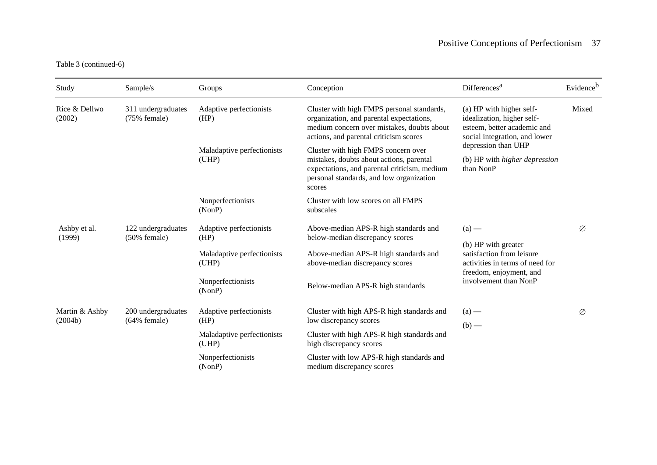Table 3 (continued-6)

| Study                     | Sample/s                                      | Groups                              | Conception                                                                                                                                                                     | Differences <sup>a</sup>                                                                                                                                                                           | Evidence <sup>b</sup> |
|---------------------------|-----------------------------------------------|-------------------------------------|--------------------------------------------------------------------------------------------------------------------------------------------------------------------------------|----------------------------------------------------------------------------------------------------------------------------------------------------------------------------------------------------|-----------------------|
| Rice & Dellwo<br>(2002)   | 311 undergraduates<br>(75% female)            | Adaptive perfectionists<br>(HP)     | Cluster with high FMPS personal standards,<br>organization, and parental expectations,<br>medium concern over mistakes, doubts about<br>actions, and parental criticism scores | (a) HP with higher self-<br>idealization, higher self-<br>esteem, better academic and<br>social integration, and lower<br>depression than UHP<br>(b) HP with <i>higher depression</i><br>than NonP | Mixed                 |
|                           |                                               | Maladaptive perfectionists<br>(UHP) | Cluster with high FMPS concern over<br>mistakes, doubts about actions, parental<br>expectations, and parental criticism, medium                                                |                                                                                                                                                                                                    |                       |
|                           |                                               |                                     | personal standards, and low organization<br>scores                                                                                                                             |                                                                                                                                                                                                    |                       |
|                           |                                               | Nonperfectionists<br>(NonP)         | Cluster with low scores on all FMPS<br>subscales                                                                                                                               |                                                                                                                                                                                                    |                       |
| Ashby et al.<br>(1999)    | 122 undergraduates<br>$(50\% \text{ female})$ | Adaptive perfectionists<br>(HP)     | Above-median APS-R high standards and<br>below-median discrepancy scores                                                                                                       | $(a)$ —<br>(b) HP with greater<br>satisfaction from leisure<br>activities in terms of need for<br>freedom, enjoyment, and<br>involvement than NonP                                                 | Ø                     |
|                           |                                               | Maladaptive perfectionists<br>(UHP) | Above-median APS-R high standards and<br>above-median discrepancy scores                                                                                                       |                                                                                                                                                                                                    |                       |
|                           |                                               | Nonperfectionists<br>(NonP)         | Below-median APS-R high standards                                                                                                                                              |                                                                                                                                                                                                    |                       |
| Martin & Ashby<br>(2004b) | 200 undergraduates<br>$(64%$ female)          | Adaptive perfectionists<br>(HP)     | Cluster with high APS-R high standards and<br>low discrepancy scores                                                                                                           | $(a)$ —<br>$(b)$ —                                                                                                                                                                                 | Ø                     |
|                           |                                               | Maladaptive perfectionists<br>(UHP) | Cluster with high APS-R high standards and<br>high discrepancy scores                                                                                                          |                                                                                                                                                                                                    |                       |
|                           |                                               | Nonperfectionists<br>(NonP)         | Cluster with low APS-R high standards and<br>medium discrepancy scores                                                                                                         |                                                                                                                                                                                                    |                       |